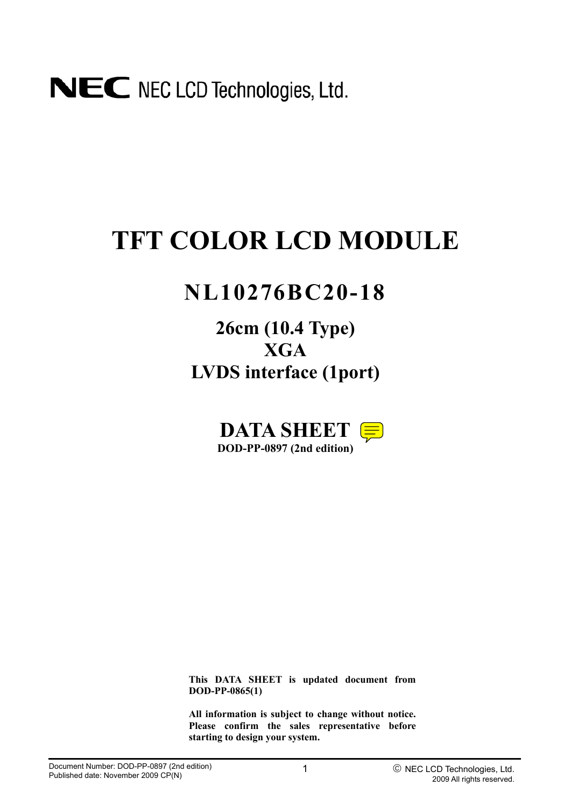# **TFT COLOR LCD MODULE**

## **NL10276BC20-18**

**26cm (10.4 Type) XGA LVDS interface (1port)**



**This DATA SHEET is updated document from DOD-PP-0865(1)** 

**All information is subject to change without notice. Please confirm the sales representative before starting to design your system.**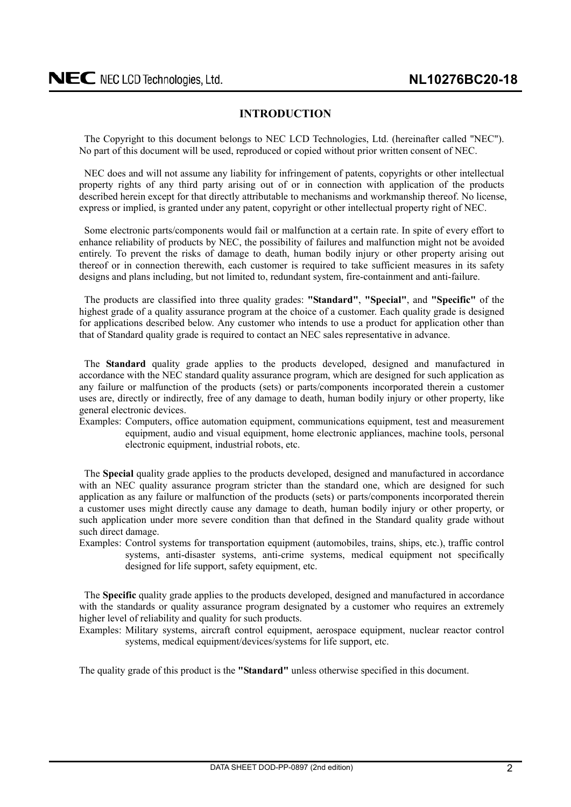## **INTRODUCTION**

<span id="page-1-0"></span>The Copyright to this document belongs to NEC LCD Technologies, Ltd. (hereinafter called "NEC"). No part of this document will be used, reproduced or copied without prior written consent of NEC.

NEC does and will not assume any liability for infringement of patents, copyrights or other intellectual property rights of any third party arising out of or in connection with application of the products described herein except for that directly attributable to mechanisms and workmanship thereof. No license, express or implied, is granted under any patent, copyright or other intellectual property right of NEC.

Some electronic parts/components would fail or malfunction at a certain rate. In spite of every effort to enhance reliability of products by NEC, the possibility of failures and malfunction might not be avoided entirely. To prevent the risks of damage to death, human bodily injury or other property arising out thereof or in connection therewith, each customer is required to take sufficient measures in its safety designs and plans including, but not limited to, redundant system, fire-containment and anti-failure.

The products are classified into three quality grades: **"Standard"**, **"Special"**, and **"Specific"** of the highest grade of a quality assurance program at the choice of a customer. Each quality grade is designed for applications described below. Any customer who intends to use a product for application other than that of Standard quality grade is required to contact an NEC sales representative in advance.

The **Standard** quality grade applies to the products developed, designed and manufactured in accordance with the NEC standard quality assurance program, which are designed for such application as any failure or malfunction of the products (sets) or parts/components incorporated therein a customer uses are, directly or indirectly, free of any damage to death, human bodily injury or other property, like general electronic devices.

Examples: Computers, office automation equipment, communications equipment, test and measurement equipment, audio and visual equipment, home electronic appliances, machine tools, personal electronic equipment, industrial robots, etc.

The **Special** quality grade applies to the products developed, designed and manufactured in accordance with an NEC quality assurance program stricter than the standard one, which are designed for such application as any failure or malfunction of the products (sets) or parts/components incorporated therein a customer uses might directly cause any damage to death, human bodily injury or other property, or such application under more severe condition than that defined in the Standard quality grade without such direct damage.

Examples: Control systems for transportation equipment (automobiles, trains, ships, etc.), traffic control systems, anti-disaster systems, anti-crime systems, medical equipment not specifically designed for life support, safety equipment, etc.

The **Specific** quality grade applies to the products developed, designed and manufactured in accordance with the standards or quality assurance program designated by a customer who requires an extremely higher level of reliability and quality for such products.

Examples: Military systems, aircraft control equipment, aerospace equipment, nuclear reactor control systems, medical equipment/devices/systems for life support, etc.

The quality grade of this product is the **"Standard"** unless otherwise specified in this document.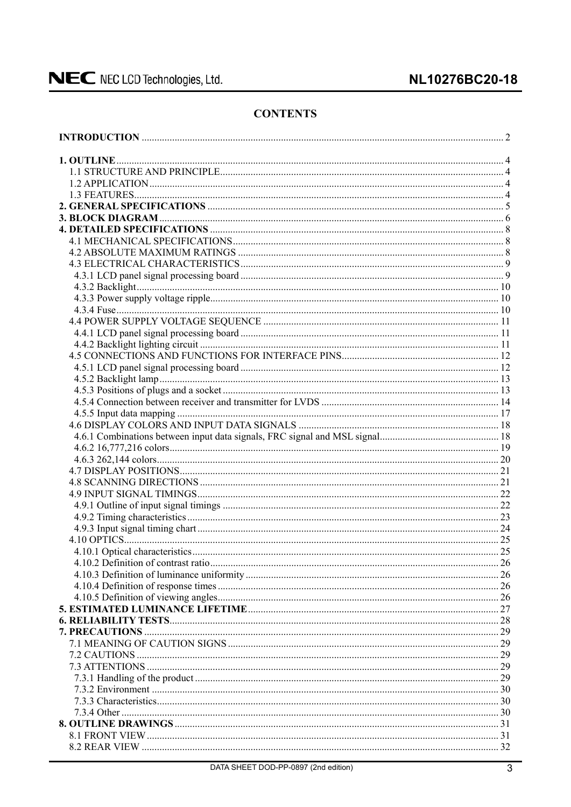## NL10276BC20-18

## **CONTENTS**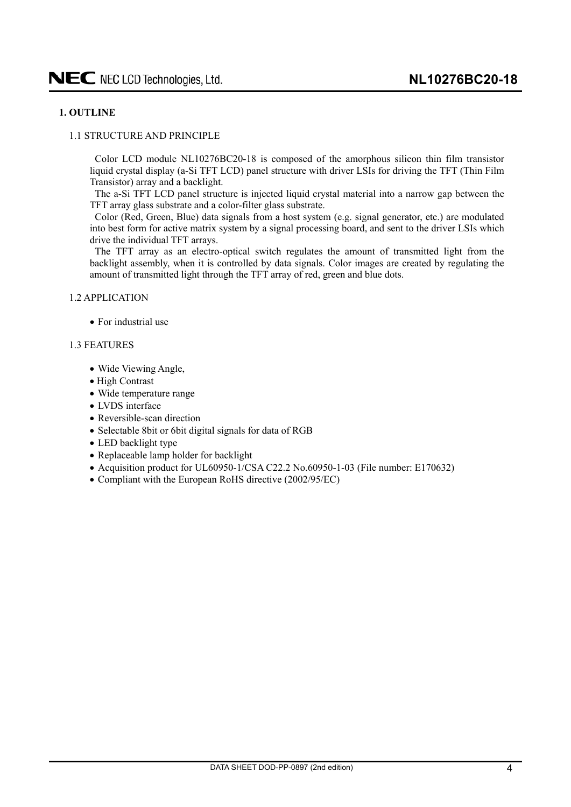## <span id="page-3-0"></span>**1. OUTLINE**

### 1.1 STRUCTURE AND PRINCIPLE

Color LCD module NL10276BC20-18 is composed of the amorphous silicon thin film transistor liquid crystal display (a-Si TFT LCD) panel structure with driver LSIs for driving the TFT (Thin Film Transistor) array and a backlight.

The a-Si TFT LCD panel structure is injected liquid crystal material into a narrow gap between the TFT array glass substrate and a color-filter glass substrate.

Color (Red, Green, Blue) data signals from a host system (e.g. signal generator, etc.) are modulated into best form for active matrix system by a signal processing board, and sent to the driver LSIs which drive the individual TFT arrays.

The TFT array as an electro-optical switch regulates the amount of transmitted light from the backlight assembly, when it is controlled by data signals. Color images are created by regulating the amount of transmitted light through the TFT array of red, green and blue dots.

#### 1.2 APPLICATION

 $\bullet$  For industrial use

### 1.3 FEATURES

- Wide Viewing Angle,
- High Contrast
- Wide temperature range
- $\bullet$  LVDS interface
- $\bullet$  Reversible-scan direction
- Selectable 8bit or 6bit digital signals for data of RGB
- LED backlight type
- Replaceable lamp holder for backlight
- Acquisition product for UL60950-1/CSA C22.2 No.60950-1-03 (File number: E170632)
- Compliant with the European RoHS directive (2002/95/EC)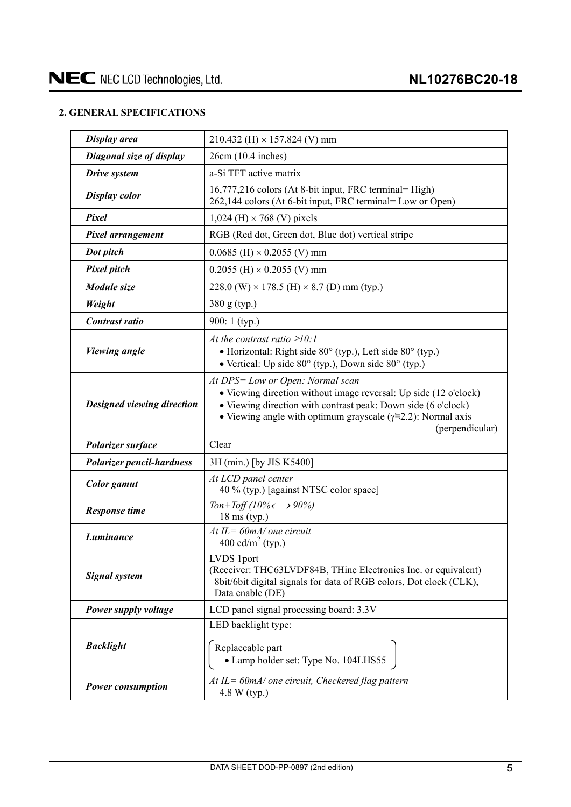## <span id="page-4-0"></span>**2. GENERAL SPECIFICATIONS**

| Display area                     | 210.432 (H) $\times$ 157.824 (V) mm                                                                                                                                                                                                                               |  |  |  |  |  |  |
|----------------------------------|-------------------------------------------------------------------------------------------------------------------------------------------------------------------------------------------------------------------------------------------------------------------|--|--|--|--|--|--|
| Diagonal size of display         | 26cm (10.4 inches)                                                                                                                                                                                                                                                |  |  |  |  |  |  |
| Drive system                     | a-Si TFT active matrix                                                                                                                                                                                                                                            |  |  |  |  |  |  |
| <b>Display color</b>             | 16,777,216 colors (At 8-bit input, FRC terminal= High)<br>262,144 colors (At 6-bit input, FRC terminal= Low or Open)                                                                                                                                              |  |  |  |  |  |  |
| Pixel                            | $1,024$ (H) $\times$ 768 (V) pixels                                                                                                                                                                                                                               |  |  |  |  |  |  |
| Pixel arrangement                | RGB (Red dot, Green dot, Blue dot) vertical stripe                                                                                                                                                                                                                |  |  |  |  |  |  |
| Dot pitch                        | $0.0685$ (H) $\times$ 0.2055 (V) mm                                                                                                                                                                                                                               |  |  |  |  |  |  |
| <b>Pixel pitch</b>               | $0.2055$ (H) $\times$ 0.2055 (V) mm                                                                                                                                                                                                                               |  |  |  |  |  |  |
| Module size                      | 228.0 (W) $\times$ 178.5 (H) $\times$ 8.7 (D) mm (typ.)                                                                                                                                                                                                           |  |  |  |  |  |  |
| Weight                           | 380 g (typ.)                                                                                                                                                                                                                                                      |  |  |  |  |  |  |
| Contrast ratio                   | 900: 1 (typ.)                                                                                                                                                                                                                                                     |  |  |  |  |  |  |
| <b>Viewing angle</b>             | At the contrast ratio $\geq 10$ :<br>• Horizontal: Right side $80^\circ$ (typ.), Left side $80^\circ$ (typ.)<br>• Vertical: Up side 80° (typ.), Down side 80° (typ.)                                                                                              |  |  |  |  |  |  |
| Designed viewing direction       | At DPS= Low or Open: Normal scan<br>• Viewing direction without image reversal: Up side (12 o'clock)<br>• Viewing direction with contrast peak: Down side (6 o'clock)<br>• Viewing angle with optimum grayscale $(\gamma = 2.2)$ : Normal axis<br>(perpendicular) |  |  |  |  |  |  |
| Polarizer surface                | Clear                                                                                                                                                                                                                                                             |  |  |  |  |  |  |
| <b>Polarizer pencil-hardness</b> | 3H (min.) [by JIS K5400]                                                                                                                                                                                                                                          |  |  |  |  |  |  |
| <b>Color</b> gamut               | At LCD panel center<br>40 % (typ.) [against NTSC color space]                                                                                                                                                                                                     |  |  |  |  |  |  |
| <b>Response time</b>             | Ton+Toff (10% $\leftarrow \rightarrow 90\%$ )<br>$18 \text{ ms (typ.)}$                                                                                                                                                                                           |  |  |  |  |  |  |
| Luminance                        | $At IL = 60mA/$ one circuit<br>400 cd/m <sup>2</sup> (typ.)                                                                                                                                                                                                       |  |  |  |  |  |  |
|                                  |                                                                                                                                                                                                                                                                   |  |  |  |  |  |  |
| <b>Signal system</b>             | LVDS 1port<br>(Receiver: THC63LVDF84B, THine Electronics Inc. or equivalent)<br>8bit/6bit digital signals for data of RGB colors, Dot clock (CLK),<br>Data enable (DE)                                                                                            |  |  |  |  |  |  |
| Power supply voltage             | LCD panel signal processing board: 3.3V                                                                                                                                                                                                                           |  |  |  |  |  |  |
| <b>Backlight</b>                 | LED backlight type:<br>Replaceable part<br>• Lamp holder set: Type No. 104LHS55                                                                                                                                                                                   |  |  |  |  |  |  |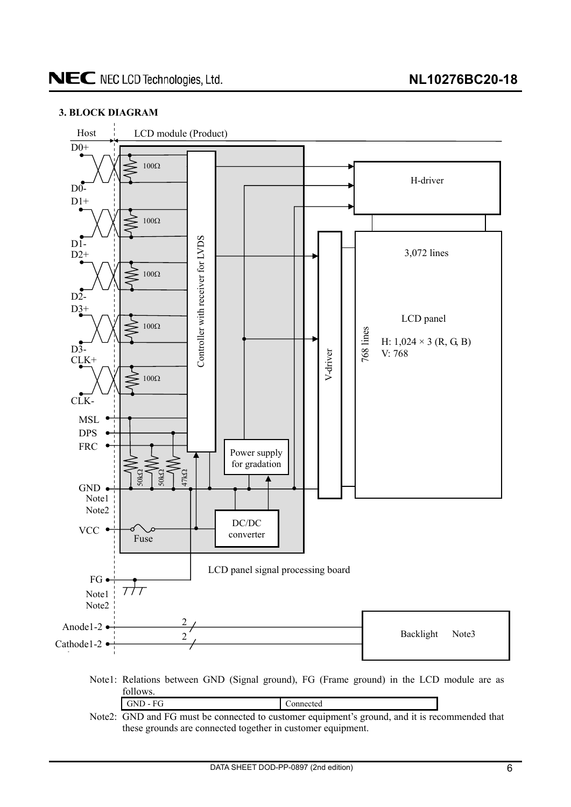## <span id="page-5-0"></span>**3. BLOCK DIAGRAM**



Note2: GND and FG must be connected to customer equipment's ground, and it is recommended that these grounds are connected together in customer equipment.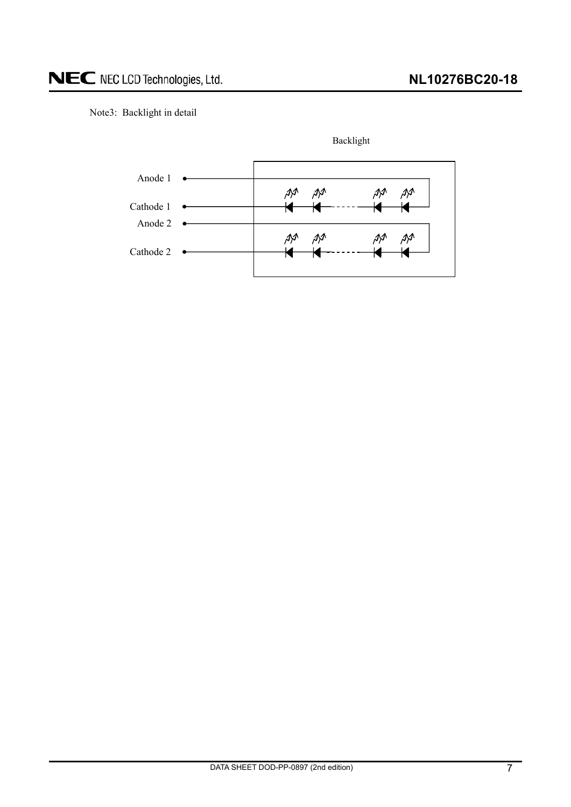## Note3: Backlight in detail



Backlight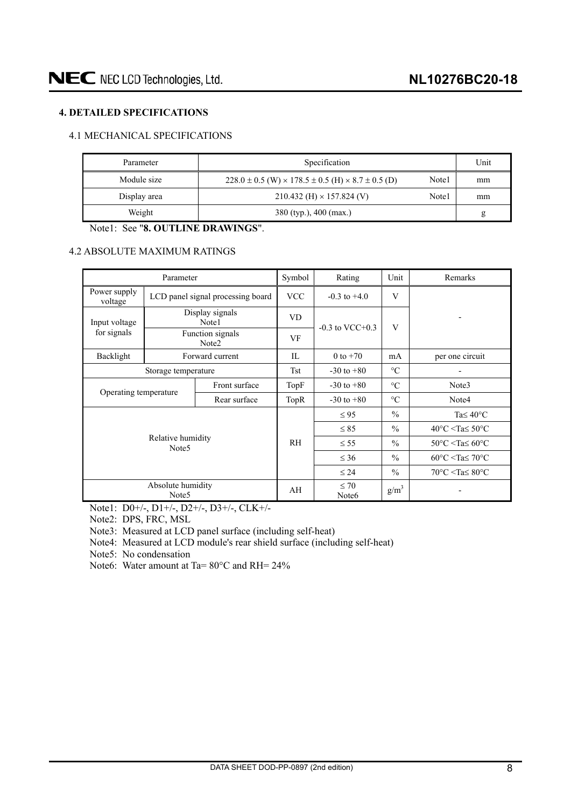## <span id="page-7-0"></span>**4. DETAILED SPECIFICATIONS**

## 4.1 MECHANICAL SPECIFICATIONS

| Parameter    | Specification                                                               | Unit  |    |
|--------------|-----------------------------------------------------------------------------|-------|----|
| Module size  | $228.0 \pm 0.5$ (W) $\times$ 178.5 $\pm$ 0.5 (H) $\times$ 8.7 $\pm$ 0.5 (D) | Note1 | mm |
| Display area | $210.432$ (H) $\times$ 157.824 (V)                                          | Note1 | mm |
| Weight       | 380 (typ.), 400 (max.)                                                      |       | g  |

Note1: See "**8. OUTLINE DRAWINGS**".

#### 4.2 ABSOLUTE MAXIMUM RATINGS

|                         | Parameter                              |                                   | Symbol     | Rating                         | Unit            | Remarks                                            |  |  |  |
|-------------------------|----------------------------------------|-----------------------------------|------------|--------------------------------|-----------------|----------------------------------------------------|--|--|--|
| Power supply<br>voltage |                                        | LCD panel signal processing board | <b>VCC</b> | $-0.3$ to $+4.0$               | V               |                                                    |  |  |  |
| Input voltage           |                                        | Display signals<br>Note1          | <b>VD</b>  | $-0.3$ to VCC $+0.3$           | V               |                                                    |  |  |  |
| for signals             |                                        | Function signals<br>Note2         | VF         |                                |                 |                                                    |  |  |  |
| Backlight               |                                        | Forward current                   | IL         | 0 to $+70$                     | mA              | per one circuit                                    |  |  |  |
|                         | Storage temperature                    |                                   | <b>Tst</b> | $-30$ to $+80$                 | $\rm ^{\circ}C$ |                                                    |  |  |  |
|                         |                                        | Front surface                     | TopF       | $-30$ to $+80$                 | $\rm ^{\circ}C$ | Note3                                              |  |  |  |
| Operating temperature   |                                        | Rear surface                      | TopR       | $-30$ to $+80$                 | $\circ$ C       | Note4                                              |  |  |  |
|                         |                                        |                                   |            | $\leq 95$                      | $\frac{0}{0}$   | Ta $\leq 40^{\circ}$ C                             |  |  |  |
|                         |                                        |                                   |            | $\leq 85$                      | $\frac{0}{0}$   | $40^{\circ}$ C <ta<math>\leq 50^{\circ}C</ta<math> |  |  |  |
|                         | Relative humidity<br>Note <sub>5</sub> |                                   | <b>RH</b>  | $\leq$ 55                      | $\frac{0}{0}$   | $50^{\circ}$ C <ta<math>\leq 60^{\circ}C</ta<math> |  |  |  |
|                         |                                        |                                   |            | $\leq 36$                      | $\frac{0}{0}$   | $60^{\circ}$ C <ta<math>\leq 70^{\circ}C</ta<math> |  |  |  |
|                         |                                        |                                   |            | $\leq 24$                      | $\frac{0}{0}$   | $70^{\circ}$ C <ta<math>\leq 80^{\circ}C</ta<math> |  |  |  |
|                         | Absolute humidity<br>Note <sub>5</sub> |                                   | AH         | $\leq 70$<br>Note <sub>6</sub> | $g/m^3$         |                                                    |  |  |  |

Note1: D0+/-, D1+/-, D2+/-, D3+/-, CLK+/-

Note2: DPS, FRC, MSL

Note3: Measured at LCD panel surface (including self-heat)

Note4: Measured at LCD module's rear shield surface (including self-heat)

Note5: No condensation

Note6: Water amount at Ta= 80°C and RH= 24%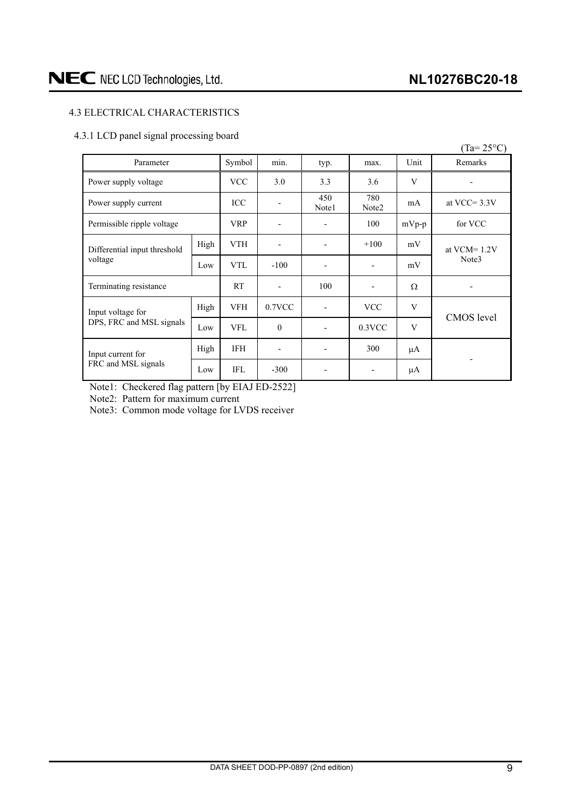## <span id="page-8-0"></span>4.3 ELECTRICAL CHARACTERISTICS

## 4.3.1 LCD panel signal processing board

|                              |      |            |                          |                |                          |         | $(Ta=25^{\circ}C)$ |  |
|------------------------------|------|------------|--------------------------|----------------|--------------------------|---------|--------------------|--|
| Parameter                    |      | Symbol     | min.                     | typ.           | max.                     | Unit    | Remarks            |  |
| Power supply voltage         |      | <b>VCC</b> | 3.0                      | 3.3            | 3.6                      | V       |                    |  |
| Power supply current         |      | ICC        |                          | 450<br>Note1   | 780<br>Note2             | mA      | at VCC= $3.3V$     |  |
| Permissible ripple voltage   |      | <b>VRP</b> |                          |                | 100                      | $mVp-p$ | for VCC            |  |
| Differential input threshold | High | <b>VTH</b> |                          | $\overline{a}$ | $+100$                   | mV      | at $VCM = 1.2V$    |  |
| voltage                      | Low  | <b>VTL</b> | $-100$                   |                | $\overline{\phantom{a}}$ | mV      | Note3              |  |
| Terminating resistance       |      | <b>RT</b>  | $\overline{\phantom{m}}$ | 100            | $\overline{\phantom{a}}$ | Ω       |                    |  |
| Input voltage for            | High | <b>VFH</b> | 0.7VCC                   |                | <b>VCC</b>               | V       | CMOS level         |  |
| DPS, FRC and MSL signals     | Low  | <b>VFL</b> | $\theta$                 | $\blacksquare$ | $0.3$ VCC                | V       |                    |  |
| Input current for            | High | <b>IFH</b> |                          |                | 300                      | μA      |                    |  |
| FRC and MSL signals          | Low  | <b>IFL</b> | $-300$                   |                | $\overline{\phantom{a}}$ | μA      |                    |  |

Note1: Checkered flag pattern [by EIAJ ED-2522]

Note2: Pattern for maximum current

Note3: Common mode voltage for LVDS receiver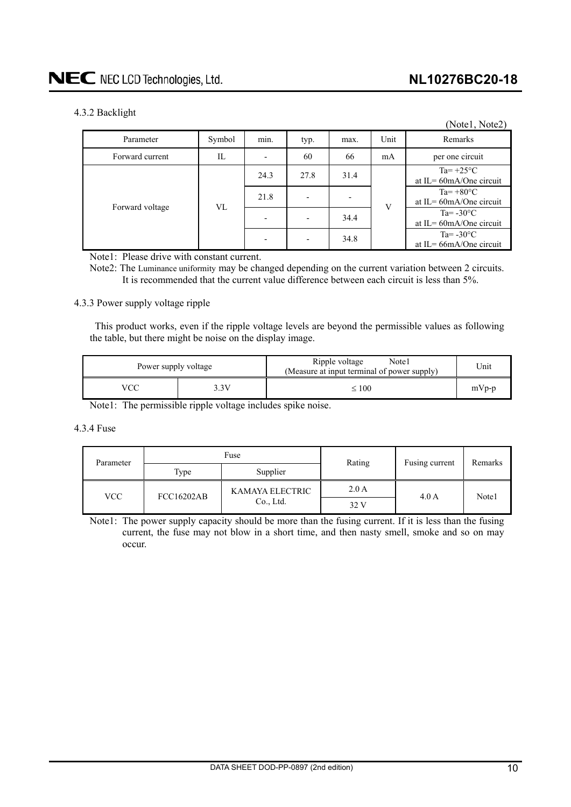## <span id="page-9-0"></span>4.3.2 Backlight

| ັ               |        |      |                          |                          |      | (Notel, Note2)                                     |
|-----------------|--------|------|--------------------------|--------------------------|------|----------------------------------------------------|
| Parameter       | Symbol | min. | typ.                     | max.                     | Unit | Remarks                                            |
| Forward current | IL     |      | 60                       | 66                       | mA   | per one circuit                                    |
|                 |        | 24.3 | 27.8                     | 31.4                     |      | Ta= $+25^{\circ}$ C<br>at IL = $60$ mA/One circuit |
| Forward voltage | VL     | 21.8 | $\overline{\phantom{0}}$ | $\overline{\phantom{a}}$ | V    | $Ta=+80^{\circ}C$<br>at IL= $60$ mA/One circuit    |
|                 |        |      | $\overline{\phantom{0}}$ | 34.4                     |      | Ta= $-30^{\circ}$ C<br>at IL= $60$ mA/One circuit  |
|                 |        |      |                          | 34.8                     |      | Ta= $-30^{\circ}$ C<br>at IL = $66mA$ One circuit  |

Note1: Please drive with constant current.

Note2: The Luminance uniformity may be changed depending on the current variation between 2 circuits. It is recommended that the current value difference between each circuit is less than 5%.

### 4.3.3 Power supply voltage ripple

This product works, even if the ripple voltage levels are beyond the permissible values as following the table, but there might be noise on the display image.

| Power supply voltage |               | Ripple voltage<br>Note1<br>(Measure at input terminal of power supply) | Unit    |
|----------------------|---------------|------------------------------------------------------------------------|---------|
| VCC                  | $\frac{4}{3}$ | $\leq 100$                                                             | $mVp-p$ |

Note1: The permissible ripple voltage includes spike noise.

#### 4.3.4 Fuse

| Parameter  |                   | Fuse            | Rating | Fusing current | Remarks |  |
|------------|-------------------|-----------------|--------|----------------|---------|--|
|            | Type              | Supplier        |        |                |         |  |
|            | <b>FCC16202AB</b> | KAMAYA ELECTRIC | 2.0A   | 4.0A           | Note1   |  |
| <b>VCC</b> |                   | Co., Ltd.       | 32 V   |                |         |  |

Note1: The power supply capacity should be more than the fusing current. If it is less than the fusing current, the fuse may not blow in a short time, and then nasty smell, smoke and so on may occur.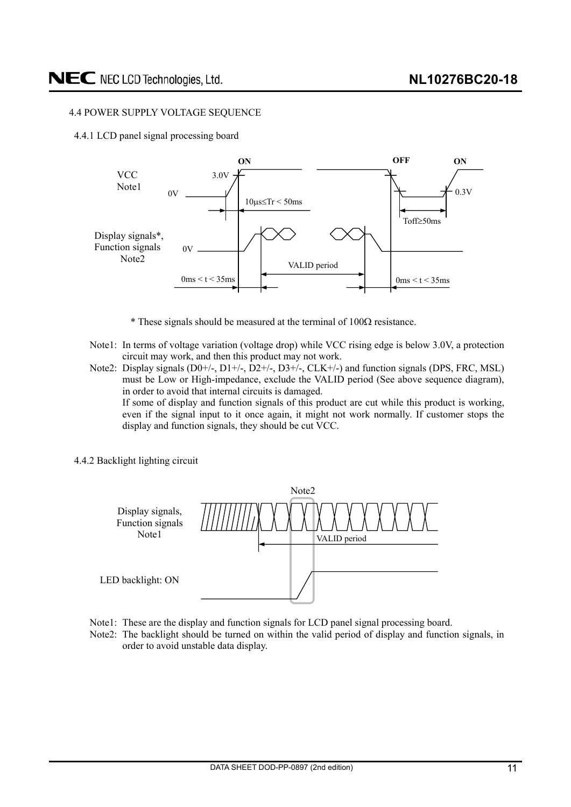### <span id="page-10-0"></span>4.4 POWER SUPPLY VOLTAGE SEQUENCE

4.4.1 LCD panel signal processing board



 $*$  These signals should be measured at the terminal of 100 $\Omega$  resistance.

display and function signals, they should be cut VCC.

- Note1: In terms of voltage variation (voltage drop) while VCC rising edge is below 3.0V, a protection circuit may work, and then this product may not work.
- Note2: Display signals (D0+/-, D1+/-, D2+/-, D3+/-, CLK+/-) and function signals (DPS, FRC, MSL) must be Low or High-impedance, exclude the VALID period (See above sequence diagram), in order to avoid that internal circuits is damaged. If some of display and function signals of this product are cut while this product is working, even if the signal input to it once again, it might not work normally. If customer stops the
- 4.4.2 Backlight lighting circuit



- Note1: These are the display and function signals for LCD panel signal processing board.
- Note2: The backlight should be turned on within the valid period of display and function signals, in order to avoid unstable data display.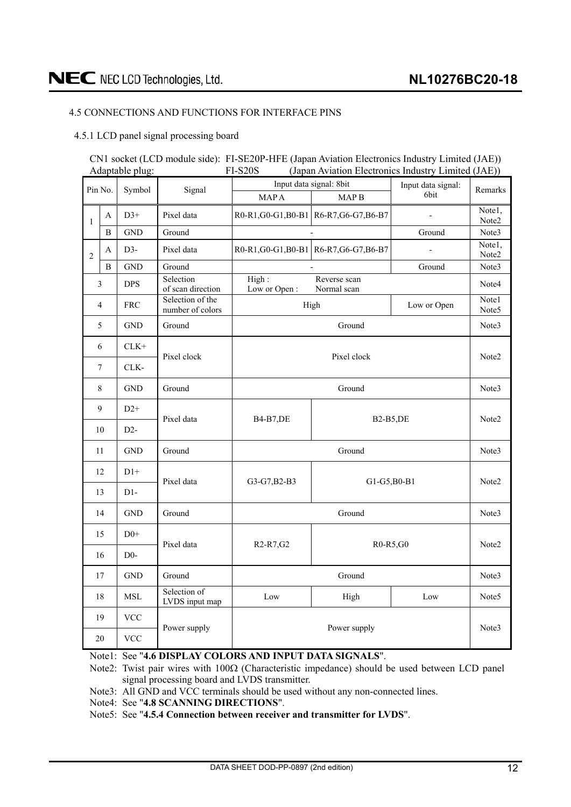## <span id="page-11-0"></span>4.5 CONNECTIONS AND FUNCTIONS FOR INTERFACE PINS

## 4.5.1 LCD panel signal processing board

#### CN1 socket (LCD module side): FI-SE20P-HFE (Japan Aviation Electronics Industry Limited (JAE)) Adaptable plug: FI-S20S (Japan Aviation Electronics Industry Limited (JAE))

|                | Pin No.<br>Symbol |             |                                      |                                                 | Input data signal: 8bit                 | Input data signal:          | Remarks           |  |  |  |  |
|----------------|-------------------|-------------|--------------------------------------|-------------------------------------------------|-----------------------------------------|-----------------------------|-------------------|--|--|--|--|
|                |                   |             | Signal                               | <b>MAPA</b>                                     | MAP <sub>B</sub>                        | 6bit                        |                   |  |  |  |  |
| $\mathbf{1}$   | A                 | $D3+$       | Pixel data                           |                                                 | R0-R1, G0-G1, B0-B1 R6-R7, G6-G7, B6-B7 | $\mathcal{L}_{\mathcal{A}}$ | Note1.<br>Note2   |  |  |  |  |
|                | B                 | <b>GND</b>  | Ground                               |                                                 |                                         | Ground                      | Note3             |  |  |  |  |
| $\overline{2}$ | A                 | $D3-$       | Pixel data                           |                                                 | R0-R1, G0-G1, B0-B1 R6-R7, G6-G7, B6-B7 | $\frac{1}{2}$               | Note1,<br>Note2   |  |  |  |  |
|                | B                 | <b>GND</b>  | Ground                               |                                                 |                                         | Ground                      | Note3             |  |  |  |  |
|                | $\mathfrak{Z}$    | <b>DPS</b>  | Selection<br>of scan direction       | High:<br>Low or Open:                           | Reverse scan<br>Normal scan             |                             | Note4             |  |  |  |  |
|                | 4                 | <b>FRC</b>  | Selection of the<br>number of colors |                                                 | High                                    | Low or Open                 | Note1<br>Note5    |  |  |  |  |
|                | 5                 | <b>GND</b>  | Ground                               |                                                 |                                         | Note3                       |                   |  |  |  |  |
|                | 6                 | $CLK+$      | Pixel clock                          |                                                 | Pixel clock                             |                             | Note2             |  |  |  |  |
|                | 7                 | CLK-        |                                      |                                                 |                                         |                             |                   |  |  |  |  |
|                | 8                 | <b>GND</b>  | Ground                               |                                                 | Ground                                  |                             | Note3             |  |  |  |  |
|                | 9                 | $D2+$       | Pixel data                           | <b>B4-B7,DE</b>                                 | <b>B2-B5,DE</b>                         |                             | Note <sub>2</sub> |  |  |  |  |
|                | 10                | $D2-$       |                                      |                                                 |                                         |                             |                   |  |  |  |  |
|                | 11                | <b>GND</b>  | Ground                               |                                                 | Ground                                  |                             | Note3             |  |  |  |  |
|                | 12                | $D1+$       | Pixel data                           | G3-G7, B2-B3                                    | G1-G5, B0-B1                            |                             | Note2             |  |  |  |  |
|                | 13                | $D1-$       |                                      |                                                 |                                         |                             |                   |  |  |  |  |
|                | 14                | <b>GND</b>  | Ground                               |                                                 | Ground                                  |                             | Note3             |  |  |  |  |
|                | 15                | $D0+$       | Pixel data                           | R <sub>2</sub> -R <sub>7</sub> , G <sub>2</sub> | R0-R5,G0                                |                             | Note <sub>2</sub> |  |  |  |  |
|                | 16                | $D0-$       |                                      |                                                 |                                         |                             |                   |  |  |  |  |
|                | 17                | <b>GND</b>  | Ground                               | Ground                                          |                                         |                             |                   |  |  |  |  |
|                | 18                | ${\bf MSL}$ | Selection of<br>LVDS input map       | Low                                             | High                                    | Low                         | Note <sub>5</sub> |  |  |  |  |
|                | 19                | <b>VCC</b>  | Power supply                         |                                                 | Note3                                   |                             |                   |  |  |  |  |
|                | 20                | <b>VCC</b>  |                                      |                                                 | Power supply                            |                             |                   |  |  |  |  |

Note1: See "**4.6 DISPLAY COLORS AND INPUT DATA SIGNALS**".

Note2: Twist pair wires with  $100\Omega$  (Characteristic impedance) should be used between LCD panel signal processing board and LVDS transmitter.

Note3: All GND and VCC terminals should be used without any non-connected lines.

Note4: See "**4.8 SCANNING DIRECTIONS**".

Note5: See "**4.5.4 Connection between receiver and transmitter for LVDS**".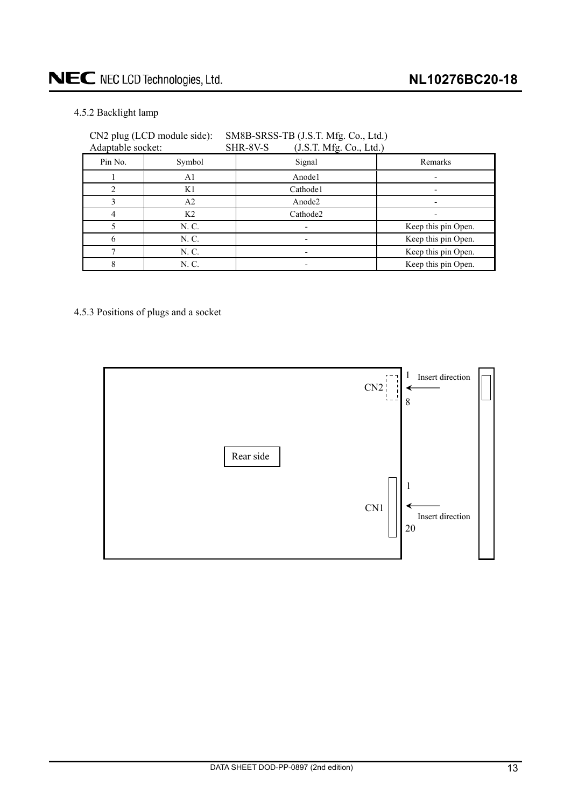## <span id="page-12-0"></span>4.5.2 Backlight lamp

| Adaptable socket: |                | SHR-8V-S<br>(J.S.T. Mfg. Co., Ltd.) |                     |
|-------------------|----------------|-------------------------------------|---------------------|
| Pin No.           | Symbol         | Signal                              | Remarks             |
|                   | A1             | Anode1                              |                     |
|                   | K1             | Cathode1                            |                     |
|                   | A <sub>2</sub> | Anode2                              |                     |
|                   | K <sub>2</sub> | Cathode2                            |                     |
|                   | N. C.          |                                     | Keep this pin Open. |
|                   | N. C.          |                                     | Keep this pin Open. |
|                   | N. C.          |                                     | Keep this pin Open. |
|                   | N. C.          |                                     | Keep this pin Open. |

## CN2 plug (LCD module side): SM8B-SRSS-TB (J.S.T. Mfg. Co., Ltd.)

4.5.3 Positions of plugs and a socket

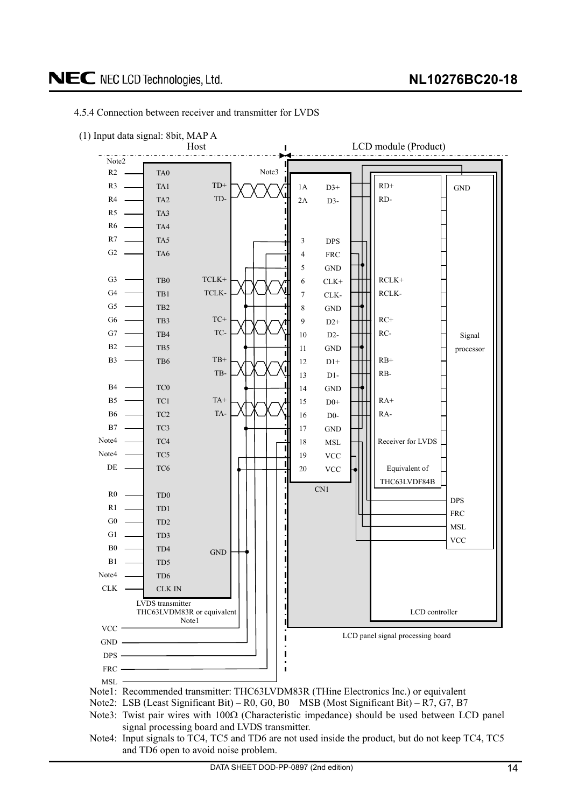

#### <span id="page-13-0"></span>4.5.4 Connection between receiver and transmitter for LVDS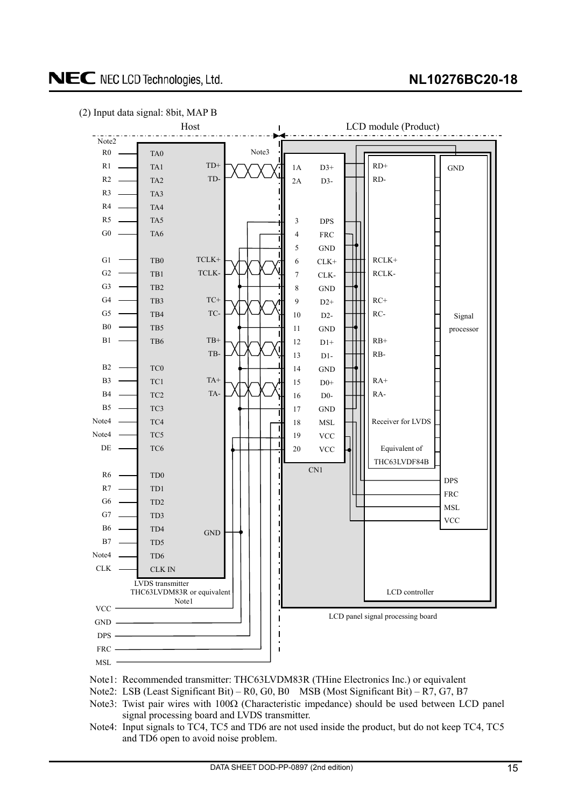## **NL10276BC20-18**

## NEC NEC LCD Technologies, Ltd.





- Note1: Recommended transmitter: THC63LVDM83R (THine Electronics Inc.) or equivalent
- Note2: LSB (Least Significant Bit) R0, G0, B0 MSB (Most Significant Bit) R7, G7, B7
- Note3: Twist pair wires with  $100\Omega$  (Characteristic impedance) should be used between LCD panel signal processing board and LVDS transmitter.
- Note4: Input signals to TC4, TC5 and TD6 are not used inside the product, but do not keep TC4, TC5 and TD6 open to avoid noise problem.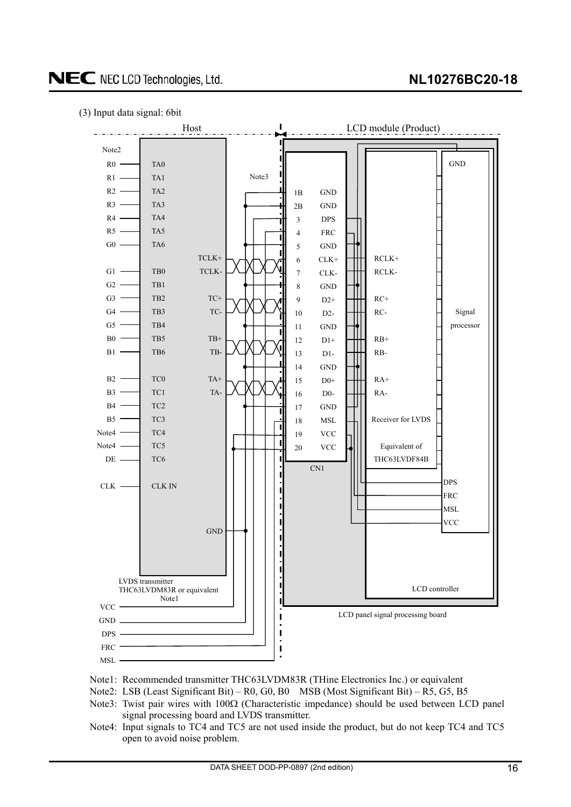## **NL10276BC20-18**

(3) Input data signal: 6bit



- Note1: Recommended transmitter THC63LVDM83R (THine Electronics Inc.) or equivalent
- Note2: LSB (Least Significant Bit) R0, G0, B0 MSB (Most Significant Bit) R5, G5, B5
- Note3: Twist pair wires with  $100\Omega$  (Characteristic impedance) should be used between LCD panel signal processing board and LVDS transmitter.
- Note4: Input signals to TC4 and TC5 are not used inside the product, but do not keep TC4 and TC5 open to avoid noise problem.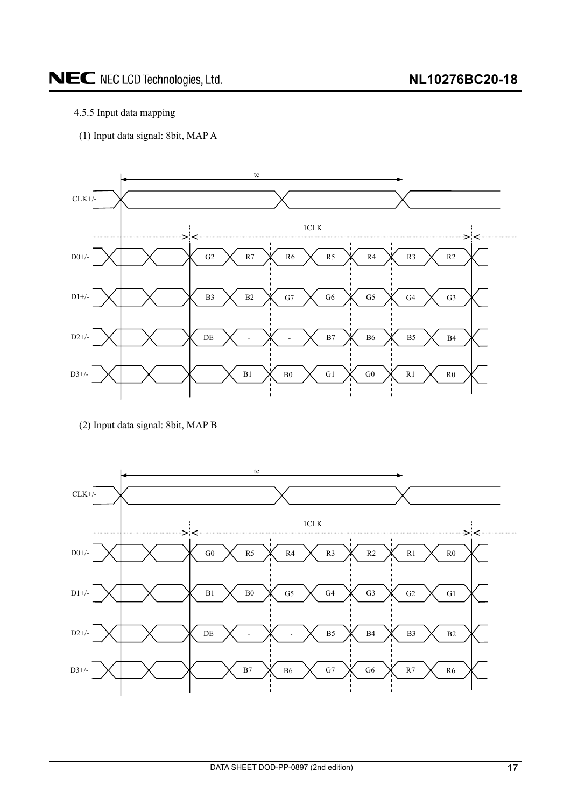## 4.5.5 Input data mapping

(1) Input data signal: 8bit, MAP A



(2) Input data signal: 8bit, MAP B

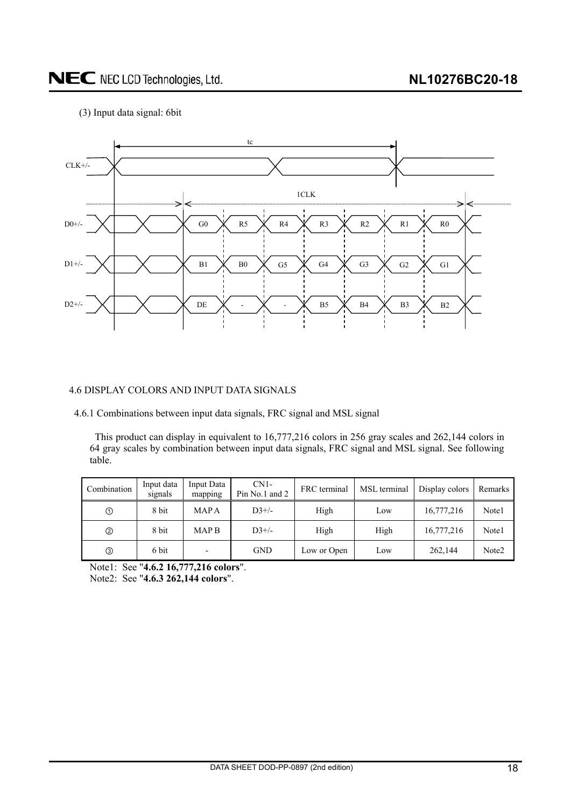<span id="page-17-0"></span>(3) Input data signal: 6bit



## 4.6 DISPLAY COLORS AND INPUT DATA SIGNALS

4.6.1 Combinations between input data signals, FRC signal and MSL signal

This product can display in equivalent to 16,777,216 colors in 256 gray scales and 262,144 colors in 64 gray scales by combination between input data signals, FRC signal and MSL signal. See following table.

| Combination   | Input data<br>signals | Input Data<br>mapping | $CN1-$<br>Pin No.1 and 2 | FRC terminal | MSL terminal | Display colors | Remarks |  |
|---------------|-----------------------|-----------------------|--------------------------|--------------|--------------|----------------|---------|--|
| $^\copyright$ | 8 bit                 | MAP A                 | $D3+/-$                  | High         | Low          | 16,777,216     | Note1   |  |
| ➁             | 8 bit                 | <b>MAPB</b>           | $D3+/$                   | High         | High         | 16,777,216     | Note1   |  |
| ③             | 6 bit                 |                       | <b>GND</b>               | Low or Open  | Low          | 262,144        | Note2   |  |

Note1: See "**4.6.2 16,777,216 colors**".

Note2: See "**4.6.3 262,144 colors**".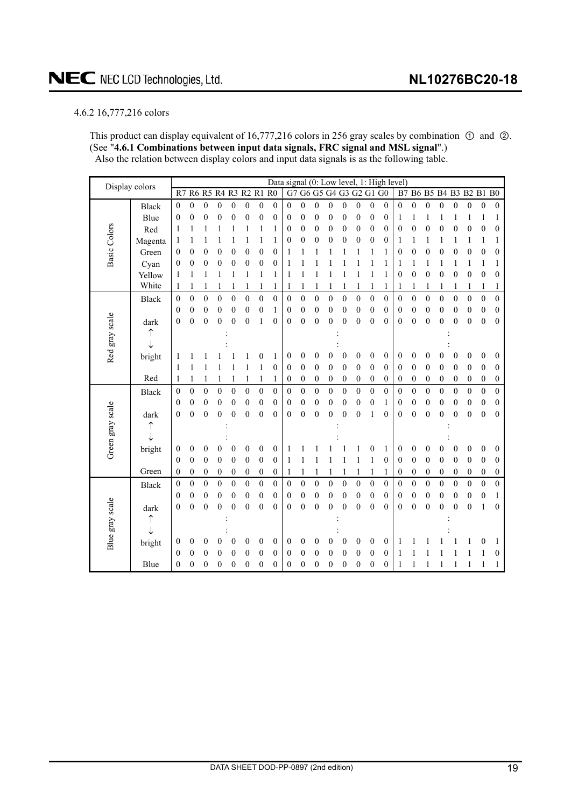## <span id="page-18-0"></span>4.6.2 16,777,216 colors

This product can display equivalent of 16,777,216 colors in 256 gray scales by combination  $\odot$  and  $\odot$ . (See "**4.6.1 Combinations between input data signals, FRC signal and MSL signal**".) Also the relation between display colors and input data signals is as the following table.

| Display colors      |              |                  |                  |                  |                  |                  |                  |                  | Data signal (0: Low level, 1: High level) |                  |                         |                  |                  |                  |                  |                  |                  |                  |                  |                      |                  |                  |                  |                  |                  |
|---------------------|--------------|------------------|------------------|------------------|------------------|------------------|------------------|------------------|-------------------------------------------|------------------|-------------------------|------------------|------------------|------------------|------------------|------------------|------------------|------------------|------------------|----------------------|------------------|------------------|------------------|------------------|------------------|
|                     |              | R7               |                  | R6 R5 R4         |                  | R3 R2 R1         |                  |                  | R <sub>0</sub>                            |                  | G7 G6 G5 G4 G3 G2 G1 G0 |                  |                  |                  |                  |                  |                  | B7               |                  | B6 B5 B4 B3 B2 B1 B0 |                  |                  |                  |                  |                  |
|                     | <b>Black</b> | $\mathbf{0}$     | $\boldsymbol{0}$ | $\boldsymbol{0}$ | $\mathbf{0}$     | 0                | $\boldsymbol{0}$ | $\boldsymbol{0}$ | 0                                         | $\overline{0}$   | $\boldsymbol{0}$        | $\overline{0}$   | $\boldsymbol{0}$ | $\boldsymbol{0}$ | $\boldsymbol{0}$ | $\boldsymbol{0}$ | $\mathbf{0}$     | $\mathbf{0}$     | $\boldsymbol{0}$ | $\boldsymbol{0}$     | $\mathbf{0}$     | $\boldsymbol{0}$ | $\boldsymbol{0}$ | $\boldsymbol{0}$ | $\boldsymbol{0}$ |
|                     | Blue         | $\boldsymbol{0}$ | $\mathbf{0}$     | $\mathbf{0}$     | $\mathbf{0}$     | 0                | $\boldsymbol{0}$ | $\boldsymbol{0}$ | 0                                         | 0                | $\mathbf{0}$            | 0                | $\overline{0}$   | $\mathbf{0}$     | $\mathbf{0}$     | $\overline{0}$   | $\overline{0}$   | 1                | 1                | 1                    | 1                | 1                | 1                | 1                | 1                |
|                     | Red          | 1                | 1                | 1                | 1                |                  | 1                | 1                | 1                                         | 0                | 0                       | 0                | $\boldsymbol{0}$ | 0                | $\boldsymbol{0}$ | $\mathbf{0}$     | $\boldsymbol{0}$ | $\boldsymbol{0}$ | $\boldsymbol{0}$ | $\boldsymbol{0}$     | $\boldsymbol{0}$ | $\overline{0}$   | $\boldsymbol{0}$ | $\boldsymbol{0}$ | $\boldsymbol{0}$ |
|                     | Magenta      | 1                |                  |                  |                  |                  |                  | 1                | 1                                         | 0                | $\boldsymbol{0}$        | 0                | 0                | 0                | $\theta$         | $\boldsymbol{0}$ | $\mathbf{0}$     | 1                | 1                | 1                    | 1                |                  | 1                | 1                | 1                |
| <b>Basic Colors</b> | Green        | $\theta$         | 0                | 0                | 0                | 0                | 0                | $\boldsymbol{0}$ | $\mathbf{0}$                              | 1                | 1                       |                  |                  |                  | 1                | 1                | 1                | $\boldsymbol{0}$ | $\boldsymbol{0}$ | $\boldsymbol{0}$     | $\boldsymbol{0}$ | $\boldsymbol{0}$ | $\boldsymbol{0}$ | $\boldsymbol{0}$ | $\boldsymbol{0}$ |
|                     | Cyan         | 0                | 0                | 0                | 0                | 0                | 0                | $\boldsymbol{0}$ | $\boldsymbol{0}$                          | 1                | 1                       | 1                |                  |                  | 1                | 1                | 1                | 1                | 1                | 1                    | 1                | 1                | 1                | 1                | 1                |
|                     | Yellow       | 1                | 1                |                  |                  |                  |                  | 1                | 1                                         | 1                | 1                       | 1                |                  |                  | 1                | 1                | 1                | $\theta$         | $\boldsymbol{0}$ | $\boldsymbol{0}$     | $\boldsymbol{0}$ | $\boldsymbol{0}$ | $\boldsymbol{0}$ | $\boldsymbol{0}$ | $\boldsymbol{0}$ |
|                     | White        | 1                | 1                |                  | 1                |                  | 1                | 1                | 1                                         |                  | 1                       |                  | 1                |                  | 1                | 1                | 1                | 1                | 1                | 1                    | 1                | 1                | 1                | 1                | 1                |
|                     | <b>Black</b> | $\boldsymbol{0}$ | $\boldsymbol{0}$ | $\boldsymbol{0}$ | $\boldsymbol{0}$ | 0                | $\boldsymbol{0}$ | $\boldsymbol{0}$ | $\boldsymbol{0}$                          | $\boldsymbol{0}$ | $\overline{0}$          | $\boldsymbol{0}$ | $\boldsymbol{0}$ | $\boldsymbol{0}$ | $\boldsymbol{0}$ | $\boldsymbol{0}$ | $\boldsymbol{0}$ | $\boldsymbol{0}$ | $\boldsymbol{0}$ | $\boldsymbol{0}$     | $\boldsymbol{0}$ | $\boldsymbol{0}$ | $\boldsymbol{0}$ | $\boldsymbol{0}$ | $\boldsymbol{0}$ |
|                     |              | $\boldsymbol{0}$ | $\mathbf{0}$     | $\boldsymbol{0}$ | $\boldsymbol{0}$ | 0                | $\boldsymbol{0}$ | $\boldsymbol{0}$ | 1                                         | 0                | $\boldsymbol{0}$        | $\boldsymbol{0}$ | 0                | $\boldsymbol{0}$ | $\boldsymbol{0}$ | $\boldsymbol{0}$ | $\boldsymbol{0}$ | $\boldsymbol{0}$ | $\boldsymbol{0}$ | $\boldsymbol{0}$     | $\boldsymbol{0}$ | $\boldsymbol{0}$ | $\boldsymbol{0}$ | $\boldsymbol{0}$ | $\boldsymbol{0}$ |
| Red gray scale      | dark         | $\boldsymbol{0}$ | $\mathbf{0}$     | $\boldsymbol{0}$ | 0                | 0                | $\mathbf{0}$     | 1                | 0                                         | 0                | $\mathbf{0}$            | $\boldsymbol{0}$ | 0                | 0                | $\boldsymbol{0}$ | $\overline{0}$   | $\overline{0}$   | $\theta$         | $\boldsymbol{0}$ | $\boldsymbol{0}$     | $\mathbf{0}$     | $\theta$         | $\boldsymbol{0}$ | $\mathbf{0}$     | $\boldsymbol{0}$ |
|                     |              |                  |                  |                  |                  |                  |                  |                  |                                           |                  |                         |                  |                  |                  |                  |                  |                  |                  |                  |                      |                  |                  |                  |                  |                  |
|                     |              |                  |                  |                  |                  |                  |                  |                  |                                           |                  |                         |                  |                  |                  |                  |                  |                  |                  |                  |                      |                  |                  |                  |                  |                  |
|                     | bright       | 1                |                  |                  |                  |                  |                  | 0                | 1                                         | 0                | 0                       | 0                | 0                | $\mathbf{0}$     | $\boldsymbol{0}$ | $\theta$         | $\boldsymbol{0}$ | $\theta$         | $\boldsymbol{0}$ | $\overline{0}$       | 0                | $\theta$         | $\boldsymbol{0}$ | $\boldsymbol{0}$ | $\boldsymbol{0}$ |
|                     |              | 1                |                  |                  |                  |                  |                  | 1                | $\mathbf{0}$                              | 0                | $\theta$                | $\mathbf{0}$     | 0                | $\boldsymbol{0}$ | $\mathbf{0}$     | $\mathbf{0}$     | $\mathbf{0}$     | $\mathbf{0}$     | $\mathbf{0}$     | $\mathbf{0}$         | $\mathbf{0}$     | $\theta$         | $\boldsymbol{0}$ | $\boldsymbol{0}$ | $\boldsymbol{0}$ |
|                     | Red          | 1                | 1                |                  | 1                |                  | 1                | 1                | 1                                         | 0                | $\boldsymbol{0}$        | $\boldsymbol{0}$ | $\boldsymbol{0}$ | 0                | $\boldsymbol{0}$ | $\boldsymbol{0}$ | $\boldsymbol{0}$ | $\boldsymbol{0}$ | $\mathbf{0}$     | $\boldsymbol{0}$     | $\mathbf{0}$     | $\mathbf{0}$     | $\boldsymbol{0}$ | $\boldsymbol{0}$ | $\boldsymbol{0}$ |
|                     | <b>Black</b> | $\boldsymbol{0}$ | $\boldsymbol{0}$ | $\boldsymbol{0}$ | $\overline{0}$   | $\overline{0}$   | $\boldsymbol{0}$ | $\boldsymbol{0}$ | $\mathbf{0}$                              | $\mathbf{0}$     | $\boldsymbol{0}$        | $\boldsymbol{0}$ | $\mathbf{0}$     | $\boldsymbol{0}$ | $\boldsymbol{0}$ | $\overline{0}$   | $\overline{0}$   | $\mathbf{0}$     | $\overline{0}$   | $\overline{0}$       | $\overline{0}$   | $\mathbf{0}$     | $\overline{0}$   | $\boldsymbol{0}$ | $\boldsymbol{0}$ |
|                     |              | $\theta$         | $\boldsymbol{0}$ | $\mathbf{0}$     | $\overline{0}$   | 0                | $\boldsymbol{0}$ | $\boldsymbol{0}$ | $\boldsymbol{0}$                          | 0                | $\boldsymbol{0}$        | $\boldsymbol{0}$ | $\overline{0}$   | $\mathbf{0}$     | $\boldsymbol{0}$ | $\boldsymbol{0}$ | 1                | $\overline{0}$   | $\mathbf{0}$     | $\boldsymbol{0}$     | $\boldsymbol{0}$ | $\theta$         | $\boldsymbol{0}$ | $\boldsymbol{0}$ | $\boldsymbol{0}$ |
|                     | dark         | $\boldsymbol{0}$ | $\overline{0}$   | $\mathbf{0}$     | $\overline{0}$   | $\overline{0}$   | $\overline{0}$   | $\mathbf{0}$     | $\overline{0}$                            | 0                | $\mathbf{0}$            | $\overline{0}$   | $\mathbf{0}$     | $\mathbf{0}$     | $\overline{0}$   | 1                | $\overline{0}$   | $\boldsymbol{0}$ | $\overline{0}$   | $\overline{0}$       | $\overline{0}$   | $\overline{0}$   | $\overline{0}$   | $\overline{0}$   | $\boldsymbol{0}$ |
|                     |              |                  |                  |                  |                  |                  |                  |                  |                                           |                  |                         |                  |                  |                  |                  |                  |                  |                  |                  |                      |                  |                  |                  |                  |                  |
|                     |              |                  |                  |                  |                  |                  |                  |                  |                                           |                  |                         |                  |                  |                  |                  |                  |                  |                  |                  |                      |                  |                  |                  |                  |                  |
| Green gray scale    | bright       | 0                | $\mathbf{0}$     | 0                | 0                | 0                | $\boldsymbol{0}$ | $\boldsymbol{0}$ | $\theta$                                  | 1                |                         |                  |                  |                  | 1                | 0                | 1                | $\boldsymbol{0}$ | $\mathbf{0}$     | $\theta$             | 0                | 0                | $\boldsymbol{0}$ | $\boldsymbol{0}$ | $\boldsymbol{0}$ |
|                     |              | $\mathbf{0}$     | $\boldsymbol{0}$ | $\boldsymbol{0}$ | $\boldsymbol{0}$ | $\boldsymbol{0}$ | $\boldsymbol{0}$ | $\boldsymbol{0}$ | $\mathbf{0}$                              | 1                | 1                       | 1                |                  | 1                | 1                | $\mathbf{1}$     | $\boldsymbol{0}$ | $\theta$         | $\mathbf{0}$     | $\boldsymbol{0}$     | $\boldsymbol{0}$ | $\boldsymbol{0}$ | $\boldsymbol{0}$ | $\boldsymbol{0}$ | $\boldsymbol{0}$ |
|                     | Green        | $\mathbf{0}$     | $\boldsymbol{0}$ | $\boldsymbol{0}$ | $\boldsymbol{0}$ | 0                | $\boldsymbol{0}$ | $\boldsymbol{0}$ | 0                                         | 1                | 1                       | 1                | 1                |                  | 1                | 1                | 1                | $\boldsymbol{0}$ | $\boldsymbol{0}$ | $\boldsymbol{0}$     | $\boldsymbol{0}$ | $\boldsymbol{0}$ | $\boldsymbol{0}$ | $\boldsymbol{0}$ | $\boldsymbol{0}$ |
|                     | <b>Black</b> | 0                | $\theta$         | $\boldsymbol{0}$ | $\mathbf{0}$     | 0                | $\boldsymbol{0}$ | $\boldsymbol{0}$ | $\mathbf{0}$                              | 0                | $\boldsymbol{0}$        | $\boldsymbol{0}$ | $\mathbf{0}$     | $\mathbf{0}$     | $\mathbf{0}$     | $\boldsymbol{0}$ | $\boldsymbol{0}$ | $\theta$         | $\mathbf{0}$     | $\boldsymbol{0}$     | $\mathbf{0}$     | $\mathbf{0}$     | $\boldsymbol{0}$ | $\boldsymbol{0}$ | $\boldsymbol{0}$ |
|                     |              | $\boldsymbol{0}$ | $\boldsymbol{0}$ | $\mathbf{0}$     | $\overline{0}$   | 0                | $\mathbf{0}$     | $\boldsymbol{0}$ | $\mathbf{0}$                              | 0                | $\theta$                | $\boldsymbol{0}$ | $\boldsymbol{0}$ | $\boldsymbol{0}$ | $\theta$         | $\mathbf{0}$     | $\mathbf{0}$     | $\theta$         | $\mathbf{0}$     | $\boldsymbol{0}$     | $\mathbf{0}$     | $\theta$         | $\boldsymbol{0}$ | $\boldsymbol{0}$ | 1                |
|                     | dark         | $\overline{0}$   | $\mathbf{0}$     | $\mathbf{0}$     | $\overline{0}$   | $\mathbf{0}$     | $\mathbf{0}$     | $\mathbf{0}$     | $\mathbf{0}$                              | $\boldsymbol{0}$ | $\mathbf{0}$            | $\overline{0}$   | $\overline{0}$   | $\overline{0}$   | $\mathbf{0}$     | $\overline{0}$   | $\overline{0}$   | $\mathbf{0}$     | $\overline{0}$   | $\overline{0}$       | $\overline{0}$   | $\boldsymbol{0}$ | $\boldsymbol{0}$ | $\mathbf{1}$     | $\boldsymbol{0}$ |
|                     |              |                  |                  |                  |                  |                  |                  |                  |                                           |                  |                         |                  |                  |                  |                  |                  |                  |                  |                  |                      |                  |                  |                  |                  |                  |
|                     |              |                  |                  |                  |                  |                  |                  |                  |                                           |                  |                         |                  |                  |                  |                  |                  |                  |                  |                  |                      |                  |                  |                  |                  |                  |
| Blue gray scale     | bright       | 0                | 0                | 0                | 0                | 0                | 0                | 0                | $\boldsymbol{0}$                          | 0                | 0                       | 0                | 0                | 0                | $\theta$         | $\theta$         | $\mathbf{0}$     |                  |                  |                      |                  |                  | 1                | 0                | 1                |
|                     |              | $\theta$         | $\mathbf{0}$     | $\boldsymbol{0}$ | $\overline{0}$   | 0                | $\boldsymbol{0}$ | $\boldsymbol{0}$ | 0                                         | 0                | 0                       | 0                | 0                | $\boldsymbol{0}$ | $\boldsymbol{0}$ | $\boldsymbol{0}$ | $\mathbf{0}$     | 1                |                  |                      |                  |                  | 1                | 1                | $\boldsymbol{0}$ |
|                     | Blue         | $\boldsymbol{0}$ | $\mathbf{0}$     | 0                | 0                | 0                | $\boldsymbol{0}$ | $\boldsymbol{0}$ | 0                                         | 0                | $\mathbf{0}$            | 0                | $\overline{0}$   | $\mathbf{0}$     | $\theta$         | $\theta$         | $\theta$         | 1                |                  |                      | 1                |                  | 1                | 1                | 1                |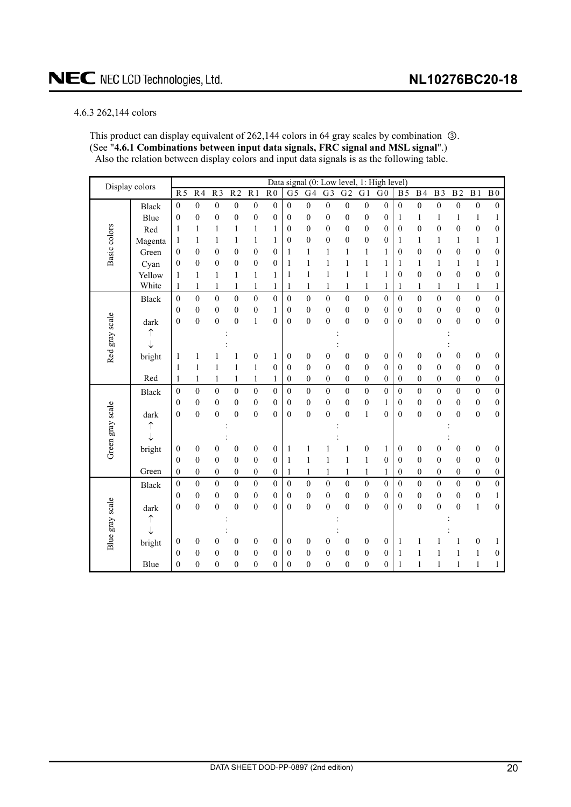### <span id="page-19-0"></span>4.6.3 262,144 colors

This product can display equivalent of  $262,144$  colors in 64 gray scales by combination  $\circled$ . (See "**4.6.1 Combinations between input data signals, FRC signal and MSL signal**".) Also the relation between display colors and input data signals is as the following table.

| Display colors   |              |                  |                  |                  |                  |                  |                  |                  |                  |                  |                  |                  | Data signal (0: Low level, 1: High level) |                  |                  |                  |                  |                  |                  |
|------------------|--------------|------------------|------------------|------------------|------------------|------------------|------------------|------------------|------------------|------------------|------------------|------------------|-------------------------------------------|------------------|------------------|------------------|------------------|------------------|------------------|
|                  |              | R <sub>5</sub>   | R <sub>4</sub>   | $\overline{R}$   | $\overline{R2}$  | $\overline{R1}$  | R <sub>0</sub>   | $\overline{G}$   | G <sub>4</sub>   | $\overline{G}$   | $\overline{G2}$  | G <sub>1</sub>   | G <sub>0</sub>                            | $\overline{B}$   | B <sub>4</sub>   | $\overline{B3}$  | $\overline{B2}$  | $\overline{B1}$  | $\overline{B}0$  |
|                  | <b>Black</b> | $\boldsymbol{0}$ | $\mathbf{0}$     | $\boldsymbol{0}$ | $\boldsymbol{0}$ | $\boldsymbol{0}$ | $\mathbf{0}$     | $\theta$         | $\mathbf{0}$     | $\boldsymbol{0}$ | $\boldsymbol{0}$ | $\boldsymbol{0}$ | $\mathbf{0}$                              | $\boldsymbol{0}$ | $\boldsymbol{0}$ | $\mathbf{0}$     | $\boldsymbol{0}$ | $\boldsymbol{0}$ | $\boldsymbol{0}$ |
|                  | Blue         | $\boldsymbol{0}$ | $\boldsymbol{0}$ | $\boldsymbol{0}$ | $\boldsymbol{0}$ | $\overline{0}$   | $\mathbf{0}$     | $\mathbf{0}$     | $\mathbf{0}$     | $\boldsymbol{0}$ | $\boldsymbol{0}$ | $\boldsymbol{0}$ | $\boldsymbol{0}$                          | $\mathbf{1}$     | $\mathbf{1}$     | 1                | $\mathbf{1}$     | $\mathbf{1}$     | 1                |
|                  | Red          | 1                | 1                | 1                | $\mathbf{1}$     | $\mathbf{1}$     | 1                | 0                | $\theta$         | $\overline{0}$   | $\overline{0}$   | $\boldsymbol{0}$ | $\mathbf{0}$                              | $\boldsymbol{0}$ | $\theta$         | $\mathbf{0}$     | $\mathbf{0}$     | $\boldsymbol{0}$ | 0                |
|                  | Magenta      | 1                | 1                | 1                | $\mathbf{1}$     | $\mathbf{1}$     | 1                | 0                | $\theta$         | $\theta$         | $\mathbf{0}$     | $\mathbf{0}$     | $\theta$                                  | 1                | 1                | 1                | 1                | $\mathbf{1}$     | 1                |
| Basic colors     | Green        | $\boldsymbol{0}$ | $\mathbf{0}$     | $\boldsymbol{0}$ | $\boldsymbol{0}$ | $\boldsymbol{0}$ | $\boldsymbol{0}$ | 1                | $\mathbf{1}$     | $\mathbf{1}$     | $\mathbf{1}$     | $\mathbf{1}$     | $\mathbf{1}$                              | $\boldsymbol{0}$ | $\boldsymbol{0}$ | $\boldsymbol{0}$ | $\boldsymbol{0}$ | $\boldsymbol{0}$ | $\boldsymbol{0}$ |
|                  | Cyan         | $\mathbf{0}$     | $\mathbf{0}$     | $\overline{0}$   | $\boldsymbol{0}$ | $\boldsymbol{0}$ | $\mathbf{0}$     | $\mathbf{1}$     | $\mathbf{1}$     | 1                | $\mathbf{1}$     | $\mathbf{1}$     | 1                                         | 1                | $\mathbf{1}$     | $\mathbf{1}$     | $\mathbf{1}$     | $\mathbf{1}$     | 1                |
|                  | Yellow       | $\mathbf{1}$     | $\mathbf{1}$     | 1                | $\mathbf{1}$     | $\mathbf{1}$     | $\mathbf{1}$     | 1                | $\mathbf{1}$     | $\mathbf{1}$     | $\mathbf{1}$     | $\mathbf{1}$     | $\mathbf{1}$                              | $\mathbf{0}$     | $\overline{0}$   | $\mathbf{0}$     | $\mathbf{0}$     | $\boldsymbol{0}$ | $\mathbf{0}$     |
|                  | White        | $\mathbf{1}$     | $\mathbf{1}$     | $\mathbf{1}$     | $\mathbf{1}$     | $\mathbf{1}$     | $\mathbf{1}$     | 1                | $\mathbf{1}$     | $\mathbf{1}$     | $\mathbf{1}$     | $\,1$            | $\mathbf{1}$                              | 1                | $\mathbf{1}$     | 1                | $\mathbf{1}$     | $\,1$            | $\mathbf{1}$     |
|                  | <b>Black</b> | $\mathbf{0}$     | $\mathbf{0}$     | $\mathbf{0}$     | $\boldsymbol{0}$ | $\boldsymbol{0}$ | $\mathbf{0}$     | $\overline{0}$   | $\overline{0}$   | $\boldsymbol{0}$ | $\mathbf{0}$     | $\boldsymbol{0}$ | $\mathbf{0}$                              | $\mathbf{0}$     | $\mathbf{0}$     | $\boldsymbol{0}$ | $\mathbf{0}$     | $\boldsymbol{0}$ | $\boldsymbol{0}$ |
|                  |              | $\mathbf{0}$     | $\mathbf{0}$     | $\mathbf{0}$     | $\boldsymbol{0}$ | $\boldsymbol{0}$ | 1                | 0                | $\mathbf{0}$     | $\overline{0}$   | $\boldsymbol{0}$ | $\boldsymbol{0}$ | $\mathbf{0}$                              | $\mathbf{0}$     | $\mathbf{0}$     | $\mathbf{0}$     | $\boldsymbol{0}$ | $\boldsymbol{0}$ | $\boldsymbol{0}$ |
|                  | dark         | $\boldsymbol{0}$ | $\overline{0}$   | $\overline{0}$   | $\boldsymbol{0}$ | $\,1$            | $\overline{0}$   | $\mathbf{0}$     | $\overline{0}$   | $\overline{0}$   | $\overline{0}$   | $\boldsymbol{0}$ | $\mathbf{0}$                              | $\mathbf{0}$     | $\overline{0}$   | $\mathbf{0}$     | $\overline{0}$   | $\boldsymbol{0}$ | $\boldsymbol{0}$ |
| Red gray scale   | ↑            |                  |                  |                  |                  |                  |                  |                  |                  |                  |                  |                  |                                           |                  |                  |                  |                  |                  |                  |
|                  | $\downarrow$ |                  |                  |                  |                  |                  |                  |                  |                  |                  |                  |                  |                                           |                  |                  |                  |                  |                  |                  |
|                  | bright       | $\mathbf{1}$     | $\mathbf{1}$     | 1                | 1                | $\boldsymbol{0}$ | $\mathbf{1}$     | $\boldsymbol{0}$ | $\boldsymbol{0}$ | $\boldsymbol{0}$ | $\boldsymbol{0}$ | $\boldsymbol{0}$ | $\boldsymbol{0}$                          | $\boldsymbol{0}$ | $\boldsymbol{0}$ | $\boldsymbol{0}$ | $\boldsymbol{0}$ | $\boldsymbol{0}$ | 0                |
|                  |              | $\mathbf{1}$     | $\mathbf{1}$     | $\mathbf{1}$     | $\mathbf{1}$     | $\mathbf{1}$     | $\mathbf{0}$     | $\overline{0}$   | $\mathbf{0}$     | $\overline{0}$   | $\mathbf{0}$     | $\boldsymbol{0}$ | $\Omega$                                  | $\mathbf{0}$     | $\theta$         | $\mathbf{0}$     | $\theta$         | $\boldsymbol{0}$ | $\boldsymbol{0}$ |
|                  | Red          | 1                | $\mathbf{1}$     | 1                | $\mathbf{1}$     | $\mathbf{1}$     | 1                | $\boldsymbol{0}$ | $\mathbf{0}$     | $\boldsymbol{0}$ | $\boldsymbol{0}$ | $\boldsymbol{0}$ | $\boldsymbol{0}$                          | $\boldsymbol{0}$ | $\overline{0}$   | $\boldsymbol{0}$ | $\boldsymbol{0}$ | $\boldsymbol{0}$ | $\boldsymbol{0}$ |
|                  | <b>Black</b> | $\boldsymbol{0}$ | $\mathbf{0}$     | $\overline{0}$   | $\overline{0}$   | $\overline{0}$   | $\mathbf{0}$     | $\overline{0}$   | $\overline{0}$   | $\mathbf{0}$     | $\overline{0}$   | $\overline{0}$   | $\mathbf{0}$                              | $\mathbf{0}$     | $\theta$         | $\boldsymbol{0}$ | $\mathbf{0}$     | $\boldsymbol{0}$ | $\overline{0}$   |
|                  |              | $\mathbf{0}$     | $\boldsymbol{0}$ | $\boldsymbol{0}$ | $\boldsymbol{0}$ | $\boldsymbol{0}$ | $\mathbf{0}$     | $\mathbf{0}$     | $\boldsymbol{0}$ | $\boldsymbol{0}$ | $\boldsymbol{0}$ | $\boldsymbol{0}$ | $\mathbf{1}$                              | $\boldsymbol{0}$ | $\boldsymbol{0}$ | $\boldsymbol{0}$ | $\boldsymbol{0}$ | $\boldsymbol{0}$ | $\boldsymbol{0}$ |
|                  | dark         | $\boldsymbol{0}$ | $\theta$         | $\theta$         | $\boldsymbol{0}$ | $\mathbf{0}$     | $\theta$         | $\mathbf{0}$     | $\overline{0}$   | $\theta$         | $\overline{0}$   | $\mathbf{1}$     | $\theta$                                  | $\mathbf{0}$     | $\theta$         | $\theta$         | $\overline{0}$   | $\mathbf{0}$     | $\mathbf{0}$     |
|                  | ↑            |                  |                  |                  |                  |                  |                  |                  |                  |                  |                  |                  |                                           |                  |                  |                  |                  |                  |                  |
| Green gray scale | J            |                  |                  |                  |                  |                  |                  |                  |                  |                  |                  |                  |                                           |                  |                  |                  |                  |                  |                  |
|                  | bright       | $\boldsymbol{0}$ | $\boldsymbol{0}$ | $\boldsymbol{0}$ | $\boldsymbol{0}$ | $\boldsymbol{0}$ | $\boldsymbol{0}$ | $\mathbf{1}$     | 1                |                  | 1                | $\boldsymbol{0}$ | $\mathbf{1}$                              | $\boldsymbol{0}$ | $\boldsymbol{0}$ | $\boldsymbol{0}$ | $\boldsymbol{0}$ | $\boldsymbol{0}$ | 0                |
|                  |              | $\mathbf{0}$     | $\mathbf{0}$     | $\boldsymbol{0}$ | $\boldsymbol{0}$ | $\overline{0}$   | $\mathbf{0}$     | $\mathbf{1}$     | $\,1$            | $\mathbf{1}$     | 1                | $\,1$            | $\boldsymbol{0}$                          | $\boldsymbol{0}$ | $\overline{0}$   | $\boldsymbol{0}$ | $\boldsymbol{0}$ | $\boldsymbol{0}$ | $\boldsymbol{0}$ |
|                  | Green        | $\boldsymbol{0}$ | $\mathbf{0}$     | $\boldsymbol{0}$ | $\boldsymbol{0}$ | $\boldsymbol{0}$ | $\boldsymbol{0}$ | $\mathbf{1}$     | $\mathbf{1}$     | 1                | $\mathbf{1}$     | $\mathbf{1}$     | $\mathbf{1}$                              | $\boldsymbol{0}$ | $\overline{0}$   | $\boldsymbol{0}$ | $\boldsymbol{0}$ | $\boldsymbol{0}$ | $\boldsymbol{0}$ |
|                  | <b>Black</b> | $\boldsymbol{0}$ | $\theta$         | $\boldsymbol{0}$ | $\boldsymbol{0}$ | $\boldsymbol{0}$ | $\theta$         | $\theta$         | $\overline{0}$   | $\mathbf{0}$     | $\overline{0}$   | $\boldsymbol{0}$ | $\boldsymbol{0}$                          | $\theta$         | $\theta$         | $\boldsymbol{0}$ | $\boldsymbol{0}$ | $\boldsymbol{0}$ | $\boldsymbol{0}$ |
|                  |              | $\boldsymbol{0}$ | $\mathbf{0}$     | $\mathbf{0}$     | $\boldsymbol{0}$ | $\boldsymbol{0}$ | $\mathbf{0}$     | $\overline{0}$   | $\mathbf{0}$     | $\overline{0}$   | $\boldsymbol{0}$ | $\boldsymbol{0}$ | $\mathbf{0}$                              | $\mathbf{0}$     | $\overline{0}$   | $\mathbf{0}$     | $\boldsymbol{0}$ | $\boldsymbol{0}$ | $\mathbf{1}$     |
| Blue gray scale  | dark         | $\boldsymbol{0}$ | $\boldsymbol{0}$ | $\boldsymbol{0}$ | $\overline{0}$   | $\boldsymbol{0}$ | $\theta$         | $\mathbf{0}$     | $\boldsymbol{0}$ | $\overline{0}$   | $\boldsymbol{0}$ | $\boldsymbol{0}$ | $\theta$                                  | $\mathbf{0}$     | $\theta$         | $\overline{0}$   | $\overline{0}$   | $\mathbf{1}$     | $\boldsymbol{0}$ |
|                  | ↑            |                  |                  |                  |                  |                  |                  |                  |                  |                  |                  |                  |                                           |                  |                  |                  |                  |                  |                  |
|                  | J            |                  |                  |                  |                  |                  |                  |                  |                  |                  |                  |                  |                                           |                  |                  |                  |                  |                  |                  |
|                  | bright       | $\boldsymbol{0}$ | $\boldsymbol{0}$ | 0                | $\boldsymbol{0}$ | $\boldsymbol{0}$ | $\boldsymbol{0}$ | $\boldsymbol{0}$ | $\boldsymbol{0}$ | $\boldsymbol{0}$ | $\boldsymbol{0}$ | $\boldsymbol{0}$ | $\boldsymbol{0}$                          | $\mathbf{1}$     | 1                |                  | 1                | $\boldsymbol{0}$ | 1                |
|                  |              | $\mathbf{0}$     | $\mathbf{0}$     | $\mathbf{0}$     | $\boldsymbol{0}$ | $\mathbf{0}$     | $\theta$         | 0                | $\mathbf{0}$     | $\overline{0}$   | $\boldsymbol{0}$ | $\boldsymbol{0}$ | $\mathbf{0}$                              | 1                | 1                | 1                | 1                | 1                | 0                |
|                  | Blue         | $\overline{0}$   | $\overline{0}$   | $\mathbf{0}$     | $\boldsymbol{0}$ | $\boldsymbol{0}$ | $\overline{0}$   | $\mathbf{0}$     | $\overline{0}$   | $\overline{0}$   | $\boldsymbol{0}$ | $\boldsymbol{0}$ | $\overline{0}$                            | 1                | $\mathbf{1}$     | 1                | $\mathbf{1}$     | 1                | 1                |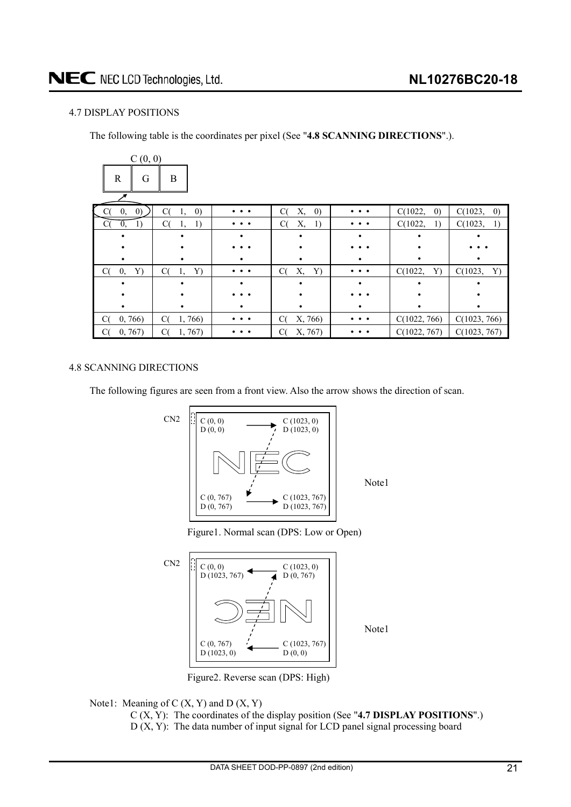## <span id="page-20-0"></span>4.7 DISPLAY POSITIONS

The following table is the coordinates per pixel (See "**4.8 SCANNING DIRECTIONS**".).

| C(0, 0)                 |                               |                       |                               |          |                              |                              |
|-------------------------|-------------------------------|-----------------------|-------------------------------|----------|------------------------------|------------------------------|
| $\mathbb{R}$<br>G       | B                             |                       |                               |          |                              |                              |
| $\left( 0\right)$<br>0, | C(<br>$\left( 0\right)$<br>1, |                       | Х,<br>C(<br>$\left( 0\right)$ | $\cdots$ | C(1022,<br>$\left( 0\right)$ | C(1023,<br>$\left( 0\right)$ |
| C(<br>1)<br>$\theta$ ,  | C(<br>1<br>1,                 | $\bullet\,\, \bullet$ | C(<br>Х,<br>1)                | $\cdots$ | C(1022,<br>1)                | C(1023,<br>1)                |
|                         |                               |                       |                               |          |                              |                              |
|                         |                               |                       |                               |          |                              |                              |
|                         |                               |                       |                               |          |                              |                              |
| 0,<br>Y)<br>Сt          | C(<br>Y)<br>1,                |                       | C(<br>Х,<br>Y)                |          | C(1022,<br>Y)                | C(1023,<br>Y)                |
|                         |                               |                       |                               |          |                              |                              |
|                         |                               |                       |                               |          |                              |                              |
|                         |                               |                       |                               |          |                              |                              |
| 0, 766<br>C(            | C(<br>1,766)                  | $\cdots$              | C(<br>X, 766)                 | $\cdots$ | C(1022, 766)                 | C(1023, 766)                 |
| 0, 767<br>Сt            | 1,767<br>C(                   |                       | X, 767)<br>C(                 |          | C(1022, 767)                 | C(1023, 767)                 |

## 4.8 SCANNING DIRECTIONS

The following figures are seen from a front view. Also the arrow shows the direction of scan.



Note1





Note1

Figure2. Reverse scan (DPS: High)

Note1: Meaning of  $C(X, Y)$  and  $D(X, Y)$ 

C (X, Y): The coordinates of the display position (See "**4.7 DISPLAY POSITIONS**".) D (X, Y): The data number of input signal for LCD panel signal processing board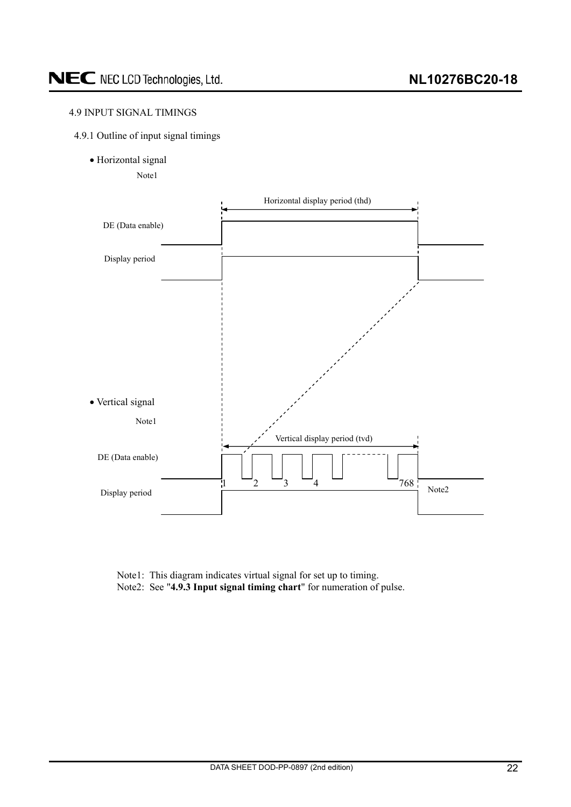## <span id="page-21-0"></span>4.9 INPUT SIGNAL TIMINGS



· Horizontal signal

Note1



Note1: This diagram indicates virtual signal for set up to timing. Note2: See "**4.9.3 Input signal timing chart**" for numeration of pulse.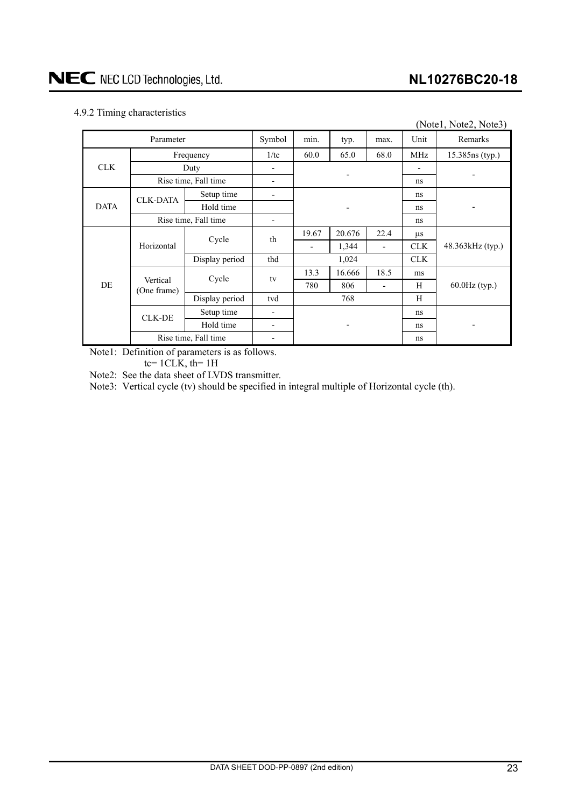## <span id="page-22-0"></span>4.9.2 Timing characteristics

|             |                         |                      |                          |       |        |                          |                 | (Note1, Note2, Note3) |  |
|-------------|-------------------------|----------------------|--------------------------|-------|--------|--------------------------|-----------------|-----------------------|--|
|             | Parameter               |                      | Symbol                   | min.  | typ.   | max.                     | Unit            | Remarks               |  |
|             | Frequency               | 1/tc                 | 60.0                     | 65.0  | 68.0   | MHz                      | 15.385ns (typ.) |                       |  |
| <b>CLK</b>  |                         | Duty                 |                          |       |        |                          |                 |                       |  |
|             | Rise time, Fall time    |                      |                          |       | ns     |                          |                 |                       |  |
|             | <b>CLK-DATA</b>         | Setup time           |                          |       |        |                          | ns              |                       |  |
| <b>DATA</b> |                         | Hold time            |                          |       |        |                          | ns              |                       |  |
|             | Rise time, Fall time    |                      |                          |       |        | ns                       |                 |                       |  |
|             |                         | Cycle                | th                       | 19.67 | 20.676 | 22.4                     | $\mu$ s         |                       |  |
|             | Horizontal              |                      |                          |       | 1,344  | $\overline{\phantom{a}}$ | <b>CLK</b>      | $48.363kHz$ (typ.)    |  |
|             |                         | Display period       | thd                      | 1,024 |        | <b>CLK</b>               |                 |                       |  |
|             |                         | Cycle                | tv                       | 13.3  | 16.666 | 18.5                     | ms              |                       |  |
| DE          | Vertical<br>(One frame) |                      |                          | 780   | 806    | $\overline{\phantom{a}}$ | H               | $60.0$ Hz $(typ.)$    |  |
|             |                         | Display period       | tvd                      | 768   |        |                          | H               |                       |  |
|             | <b>CLK-DE</b>           | Setup time           | $\overline{\phantom{a}}$ |       |        |                          | ns              |                       |  |
|             |                         | Hold time            | ٠                        |       |        |                          | ns              |                       |  |
|             |                         | Rise time, Fall time | $\overline{\phantom{0}}$ |       |        |                          | ns              |                       |  |

Note1: Definition of parameters is as follows.

tc=  $1CLK$ , th=  $1H$ 

Note2: See the data sheet of LVDS transmitter.

Note3: Vertical cycle (tv) should be specified in integral multiple of Horizontal cycle (th).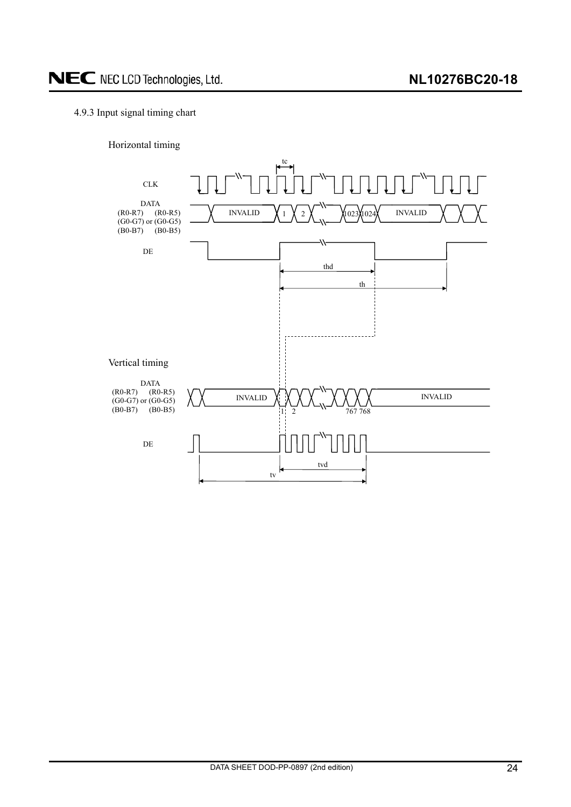## <span id="page-23-0"></span>4.9.3 Input signal timing chart

Horizontal timing

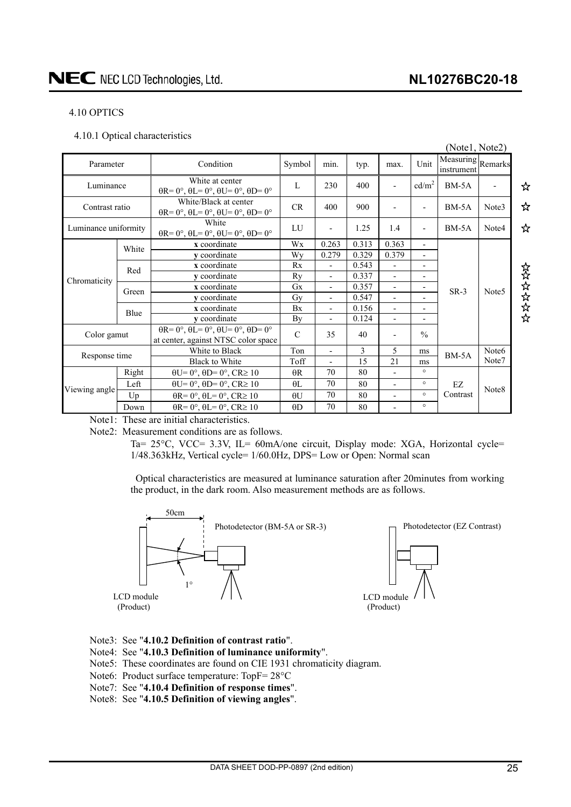## **NL10276BC20-18**

## NEC NEC LCD Technologies, Ltd.

## 4.10 OPTICS

4.10.1 Optical characteristics

|                      |       |                                                                                                                  |             |                          |       |                          |                          | (Notel, Note2)                  |                   |       |
|----------------------|-------|------------------------------------------------------------------------------------------------------------------|-------------|--------------------------|-------|--------------------------|--------------------------|---------------------------------|-------------------|-------|
| Parameter            |       | Condition                                                                                                        | Symbol      | min.                     | typ.  | max.                     | Unit                     | Measuring Remarks<br>instrument |                   |       |
| Luminance            |       | White at center<br>$\theta$ R= $0^\circ$ , $\theta$ L= $0^\circ$ , $\theta$ U= $0^\circ$ , $\theta$ D= $0^\circ$ | L           | 230                      | 400   | $\overline{\phantom{a}}$ | cd/m <sup>2</sup>        | $BM-5A$                         |                   | ☆     |
| Contrast ratio       |       | White/Black at center<br>$\theta$ R= 0°, $\theta$ L= 0°, $\theta$ U= 0°, $\theta$ D= 0°                          | CR          | 400                      | 900   |                          | $\overline{\phantom{a}}$ | $BM-5A$                         | Note3             | ☆     |
| Luminance uniformity |       | White<br>$\theta$ R= 0°, $\theta$ L= 0°, $\theta$ U= 0°, $\theta$ D= 0°                                          | LU          | $\overline{\phantom{a}}$ | 1.25  | 1.4                      | ٠                        | $BM-5A$                         | Note4             | ☆     |
|                      | White | x coordinate                                                                                                     | Wx          | 0.263                    | 0.313 | 0.363                    | $\overline{a}$           |                                 |                   |       |
|                      |       | y coordinate                                                                                                     | Wy          | 0.279                    | 0.329 | 0.379                    | $\overline{a}$           |                                 |                   |       |
|                      | Red   | x coordinate                                                                                                     | Rx          | $\overline{\phantom{a}}$ | 0.543 | $\blacksquare$           | $\overline{a}$           |                                 |                   |       |
| Chromaticity         |       | v coordinate                                                                                                     | Ry          | $\overline{\phantom{a}}$ | 0.337 | $\overline{\phantom{a}}$ | $\overline{a}$           |                                 |                   | ななななな |
|                      | Green | x coordinate                                                                                                     | Gx          | $\overline{\phantom{a}}$ | 0.357 | $\overline{\phantom{a}}$ | $\overline{a}$           | $SR-3$                          | Note <sub>5</sub> |       |
|                      |       | y coordinate                                                                                                     | Gy          | $\overline{\phantom{a}}$ | 0.547 | $\overline{\phantom{a}}$ | $\overline{\phantom{0}}$ |                                 |                   |       |
|                      | Blue  | x coordinate                                                                                                     | Bx          | $\overline{\phantom{a}}$ | 0.156 | $\overline{\phantom{a}}$ | $\overline{a}$           |                                 |                   |       |
|                      |       | y coordinate                                                                                                     | Вy          | $\overline{\phantom{a}}$ | 0.124 | $\overline{\phantom{a}}$ | $\overline{\phantom{0}}$ |                                 |                   |       |
| Color gamut          |       | $\theta$ R= 0°, $\theta$ L= 0°, $\theta$ U= 0°, $\theta$ D= 0°<br>at center, against NTSC color space            | $\mathbf C$ | 35                       | 40    |                          | $\frac{0}{0}$            |                                 |                   |       |
|                      |       | White to Black                                                                                                   | Ton         | $\overline{a}$           | 3     | 5                        | ms                       | $BM-5A$                         | Note <sub>6</sub> |       |
| Response time        |       | <b>Black to White</b>                                                                                            | Toff        |                          | 15    | 21                       | ms                       |                                 | Note7             |       |
|                      | Right | $\theta U = 0^\circ$ , $\theta D = 0^\circ$ , $CR \ge 10$                                                        | $\theta$ R  | 70                       | 80    |                          | $\circ$                  |                                 |                   |       |
|                      | Left  | $\theta U = 0^\circ$ , $\theta D = 0^\circ$ , $CR \ge 10$                                                        | $\theta$ L  | 70                       | 80    | $\blacksquare$           | $\circ$                  | EZ                              | Note <sub>8</sub> |       |
| Viewing angle        | Up    | $\theta$ R= 0°, $\theta$ L= 0°, CR≥ 10                                                                           | $\theta$ U  | 70                       | 80    | $\blacksquare$           | $\circ$                  | Contrast                        |                   |       |
|                      | Down  | $\theta$ R= 0°, $\theta$ L= 0°, CR≥ 10                                                                           | $\theta$ D  | 70                       | 80    |                          | $\circ$                  |                                 |                   |       |

Note1: These are initial characteristics.

Note2: Measurement conditions are as follows.

Ta= 25°C, VCC= 3.3V, IL= 60mA/one circuit, Display mode: XGA, Horizontal cycle= 1/48.363kHz, Vertical cycle= 1/60.0Hz, DPS= Low or Open: Normal scan

Optical characteristics are measured at luminance saturation after 20minutes from working the product, in the dark room. Also measurement methods are as follows.



- Note3: See "**4.10.2 Definition of contrast ratio**".
- Note4: See "**4.10.3 Definition of luminance uniformity**".
- Note5: These coordinates are found on CIE 1931 chromaticity diagram.
- Note6: Product surface temperature: TopF= $28^{\circ}$ C
- Note7: See "**4.10.4 Definition of response times**".
- Note8: See "**4.10.5 Definition of viewing angles**".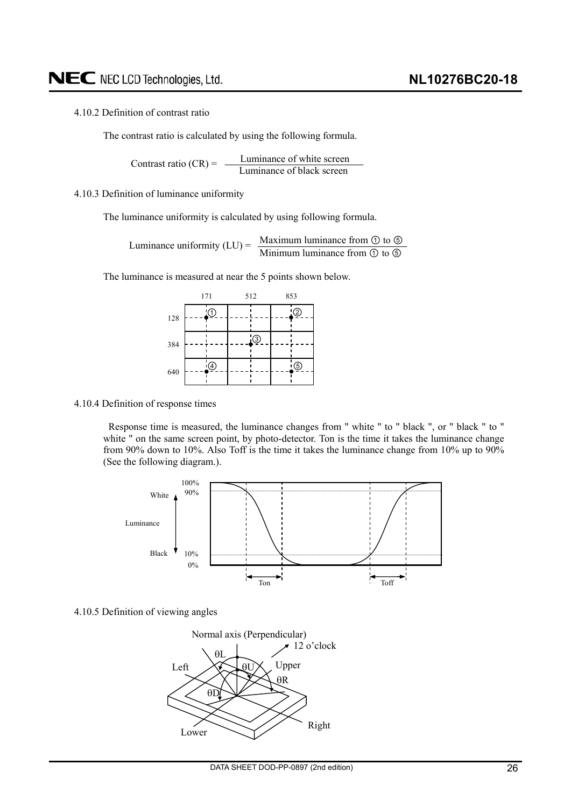### <span id="page-25-0"></span>4.10.2 Definition of contrast ratio

The contrast ratio is calculated by using the following formula.

Luminance of white screen Contrast ratio  $(CR) = \frac{L}{L}$  Luminance of black screen

4.10.3 Definition of luminance uniformity

The luminance uniformity is calculated by using following formula.

Maximum luminance from  $\odot$  to  $\odot$ Luminance uniformity  $(LU) = \frac{Maxl (U)}{Mini m u}$  luminance from  $\odot$  to  $\odot$ 

The luminance is measured at near the 5 points shown below.

|     | 171 |               | 512 |         | 853 |   |
|-----|-----|---------------|-----|---------|-----|---|
| 128 |     | $\Phi$        |     |         |     | D |
| 384 |     |               |     | $\odot$ |     |   |
| 640 |     | $\circledast$ |     |         |     |   |

4.10.4 Definition of response times

Response time is measured, the luminance changes from " white " to " black ", or " black " to " white " on the same screen point, by photo-detector. Ton is the time it takes the luminance change from 90% down to 10%. Also Toff is the time it takes the luminance change from 10% up to 90% (See the following diagram.).



4.10.5 Definition of viewing angles

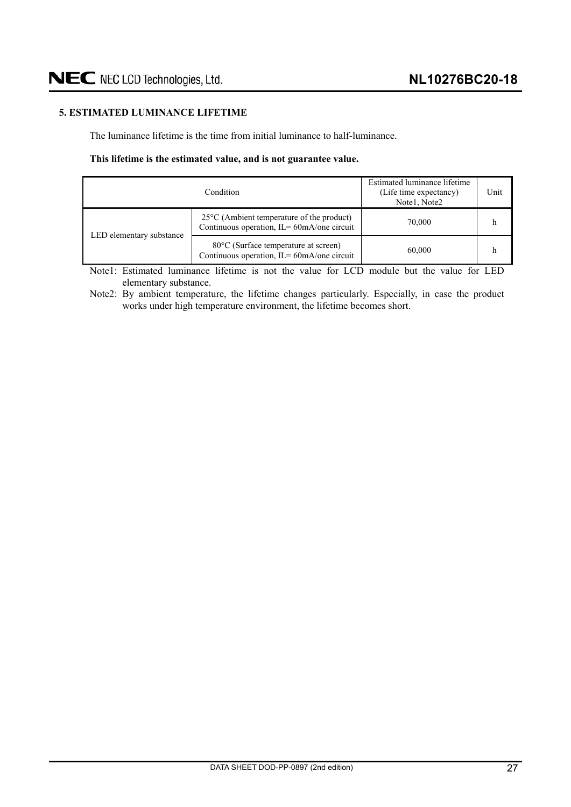## <span id="page-26-0"></span>**5. ESTIMATED LUMINANCE LIFETIME**

The luminance lifetime is the time from initial luminance to half-luminance.

#### **This lifetime is the estimated value, and is not guarantee value.**

|                          | Estimated luminance lifetime<br>(Life time expectancy)<br>Notel, Note2                                 | Unit   |  |
|--------------------------|--------------------------------------------------------------------------------------------------------|--------|--|
| LED elementary substance | $25^{\circ}$ C (Ambient temperature of the product)<br>Continuous operation, $IL = 60mA$ / one circuit | 70,000 |  |
|                          | 80 °C (Surface temperature at screen)<br>Continuous operation, $IL = 60mA$ /one circuit                | 60,000 |  |

Note1: Estimated luminance lifetime is not the value for LCD module but the value for LED elementary substance.

Note2: By ambient temperature, the lifetime changes particularly. Especially, in case the product works under high temperature environment, the lifetime becomes short.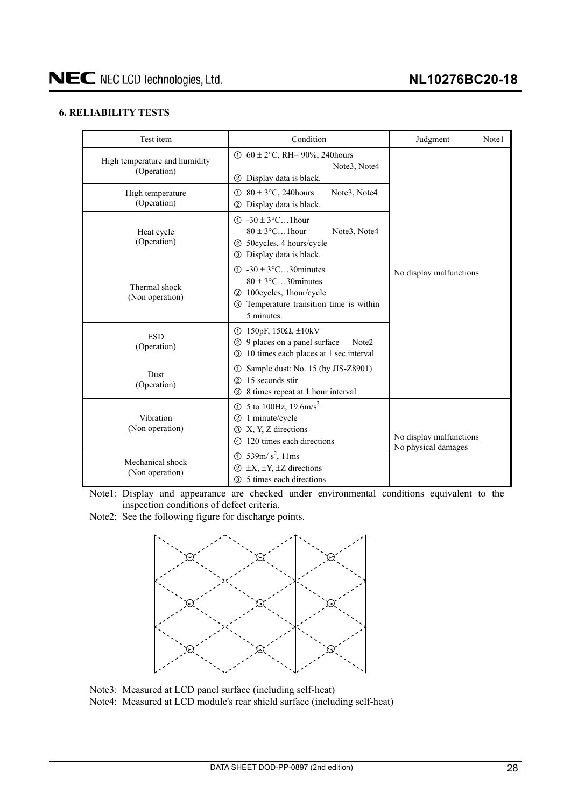## <span id="page-27-0"></span>**6. RELIABILITY TESTS**

| Test item                                    | Condition                                                                                                                                                                   |                         |  |  |
|----------------------------------------------|-----------------------------------------------------------------------------------------------------------------------------------------------------------------------------|-------------------------|--|--|
| High temperature and humidity<br>(Operation) | ① $60 \pm 2$ °C, RH= 90%, 240 hours<br>Note3, Note4<br>Display data is black.<br>(2)                                                                                        |                         |  |  |
| High temperature<br>(Operation)              | $80 \pm 3$ °C, 240 hours<br>Note3, Note4<br>①<br>Display data is black.<br>$\circled{2}$                                                                                    |                         |  |  |
| Heat cycle<br>(Operation)                    | $\textcircled{1}$ -30 ± 3°C1hour<br>$80 \pm 3$ °C1 hour<br>Note3, Note4<br>50 cycles, 4 hours/cycle<br>(2)<br><b>3</b> Display data is black.                               |                         |  |  |
| Thermal shock<br>(Non operation)             | $\textcircled{1}$ -30 ± 3 $\textcircled{c}$ 30 minutes<br>$80 \pm 3$ °C30 minutes<br>100cycles, 1hour/cycle<br>(2)<br>3 Temperature transition time is within<br>5 minutes. | No display malfunctions |  |  |
| <b>ESD</b><br>(Operation)                    | ① 150pF, 150Ω, $\pm$ 10kV<br>9 places on a panel surface<br>Note <sub>2</sub><br>$\circled{2}$<br>10 times each places at 1 sec interval<br>3                               |                         |  |  |
| Dust<br>(Operation)                          | Sample dust: No. 15 (by JIS-Z8901)<br>$\odot$<br>15 seconds stir<br>(2)<br>8 times repeat at 1 hour interval<br>3                                                           |                         |  |  |
| Vibration<br>(Non operation)                 | No display malfunctions<br>No physical damages                                                                                                                              |                         |  |  |
| Mechanical shock<br>(Non operation)          | ① 539m/ $s^2$ , 11ms<br>$\pm X$ , $\pm Y$ , $\pm Z$ directions<br>(2)<br>5 times each directions<br>$\circled{3}$                                                           |                         |  |  |

Note1: Display and appearance are checked under environmental conditions equivalent to the inspection conditions of defect criteria.

Note2: See the following figure for discharge points.



Note3: Measured at LCD panel surface (including self-heat)

Note4: Measured at LCD module's rear shield surface (including self-heat)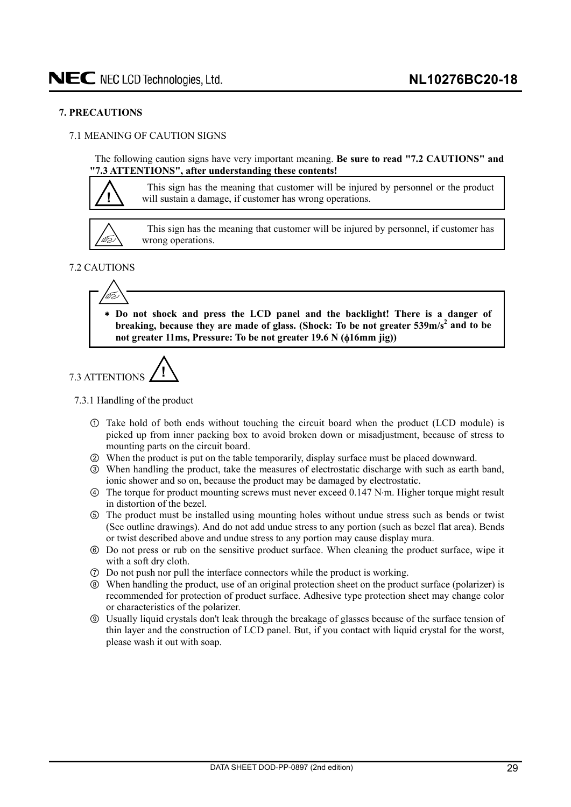### <span id="page-28-0"></span>**7. PRECAUTIONS**

## 7.1 MEANING OF CAUTION SIGNS

The following caution signs have very important meaning. **Be sure to read "7.2 CAUTIONS" and "7.3 ATTENTIONS", after understanding these contents!** 

**!**

This sign has the meaning that customer will be injured by personnel or the product will sustain a damage, if customer has wrong operations.



This sign has the meaning that customer will be injured by personnel, if customer has wrong operations.

## 7.2 CAUTIONS





7.3.1 Handling of the product

- Take hold of both ends without touching the circuit board when the product (LCD module) is picked up from inner packing box to avoid broken down or misadjustment, because of stress to mounting parts on the circuit board.
- ཱ When the product is put on the table temporarily, display surface must be placed downward.
- ི When handling the product, take the measures of electrostatic discharge with such as earth band, ionic shower and so on, because the product may be damaged by electrostatic.
- ཱི The torque for product mounting screws must never exceed 0.147 Nm. Higher torque might result in distortion of the bezel.
- ུ The product must be installed using mounting holes without undue stress such as bends or twist (See outline drawings). And do not add undue stress to any portion (such as bezel flat area). Bends or twist described above and undue stress to any portion may cause display mura.
- ཱུ Do not press or rub on the sensitive product surface. When cleaning the product surface, wipe it with a soft dry cloth.
- ྲྀ Do not push nor pull the interface connectors while the product is working.
- ཷ When handling the product, use of an original protection sheet on the product surface (polarizer) is recommended for protection of product surface. Adhesive type protection sheet may change color or characteristics of the polarizer.
- ླྀ Usually liquid crystals don't leak through the breakage of glasses because of the surface tension of thin layer and the construction of LCD panel. But, if you contact with liquid crystal for the worst, please wash it out with soap.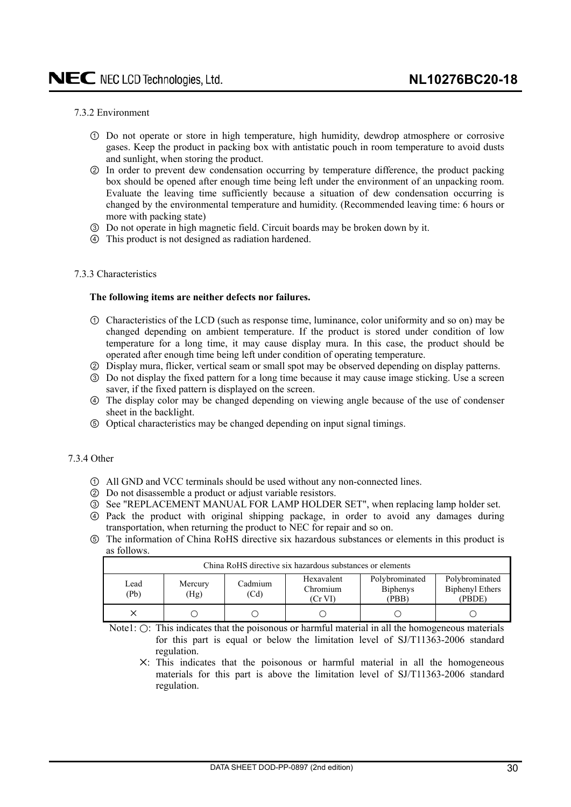### <span id="page-29-0"></span>7.3.2 Environment

- Do not operate or store in high temperature, high humidity, dewdrop atmosphere or corrosive gases. Keep the product in packing box with antistatic pouch in room temperature to avoid dusts and sunlight, when storing the product.
- ཱ In order to prevent dew condensation occurring by temperature difference, the product packing box should be opened after enough time being left under the environment of an unpacking room. Evaluate the leaving time sufficiently because a situation of dew condensation occurring is changed by the environmental temperature and humidity. (Recommended leaving time: 6 hours or more with packing state)
- ི Do not operate in high magnetic field. Circuit boards may be broken down by it.
- ཱི This product is not designed as radiation hardened.

### 7.3.3 Characteristics

#### **The following items are neither defects nor failures.**

- Characteristics of the LCD (such as response time, luminance, color uniformity and so on) may be changed depending on ambient temperature. If the product is stored under condition of low temperature for a long time, it may cause display mura. In this case, the product should be operated after enough time being left under condition of operating temperature.
- ཱ Display mura, flicker, vertical seam or small spot may be observed depending on display patterns.
- ི Do not display the fixed pattern for a long time because it may cause image sticking. Use a screen saver, if the fixed pattern is displayed on the screen.
- ཱི The display color may be changed depending on viewing angle because of the use of condenser sheet in the backlight.
- ུ Optical characteristics may be changed depending on input signal timings.

### 7.3.4 Other

- All GND and VCC terminals should be used without any non-connected lines.
- ཱ Do not disassemble a product or adjust variable resistors.
- ི See "REPLACEMENT MANUAL FOR LAMP HOLDER SET", when replacing lamp holder set.
- ཱི Pack the product with original shipping package, in order to avoid any damages during transportation, when returning the product to NEC for repair and so on.
- ུ The information of China RoHS directive six hazardous substances or elements in this product is as follows.

| China RoHS directive six hazardous substances or elements |                 |                 |                                     |                                            |                                                    |  |  |  |
|-----------------------------------------------------------|-----------------|-----------------|-------------------------------------|--------------------------------------------|----------------------------------------------------|--|--|--|
| Lead<br>(Pb)                                              | Mercury<br>(Hg) | Cadmium<br>(Cd) | Hexavalent<br>Chromium<br>$(Cr$ VI) | Polybrominated<br><b>Biphenys</b><br>(PBB) | Polybrominated<br><b>Biphenyl Ethers</b><br>(PBDE) |  |  |  |
|                                                           |                 |                 |                                     |                                            |                                                    |  |  |  |

Note1:  $\odot$ : This indicates that the poisonous or harmful material in all the homogeneous materials for this part is equal or below the limitation level of SJ/T11363-2006 standard regulation.

ᅜ: This indicates that the poisonous or harmful material in all the homogeneous materials for this part is above the limitation level of SJ/T11363-2006 standard regulation.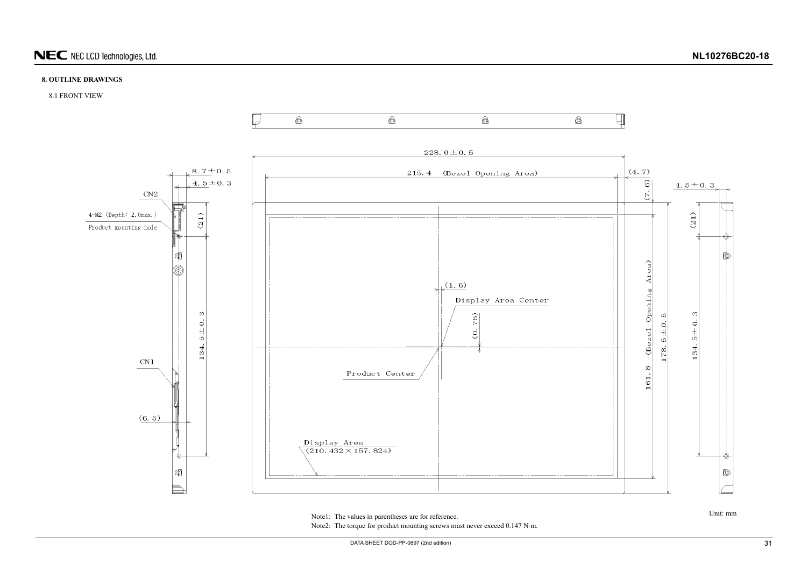

## **8. OUTLINE DRAWINGS**

8.1 FRONT VIEW



<span id="page-30-0"></span>Note1: The values in parentheses are for reference. Note2: The torque for product mounting screws must never exceed 0.147 N·m.